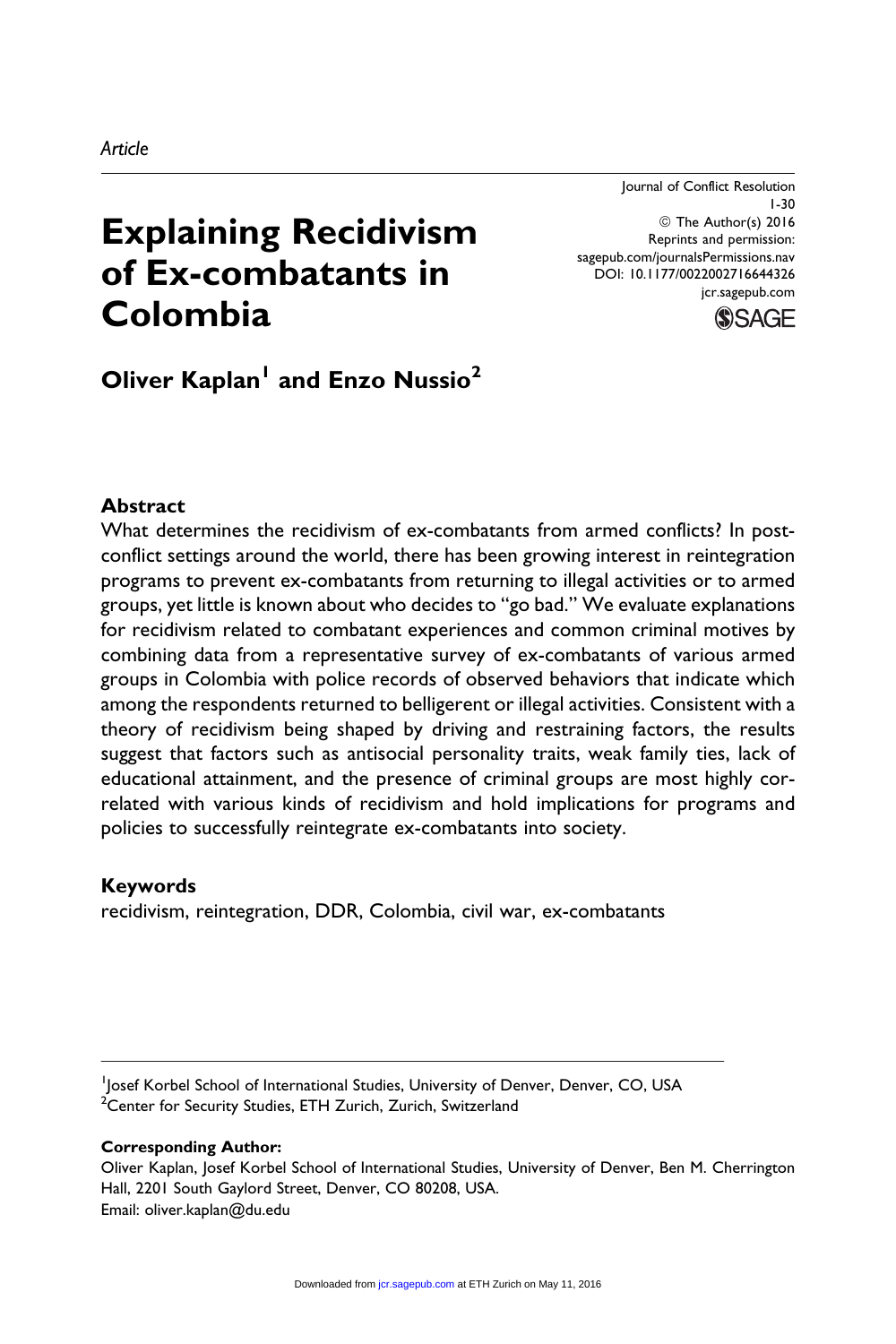Journal of Conflict Resolution 1-30 © The Author(s) 2016 Reprints and permission: [sagepub.com/journalsPermissions.nav](http://www.sagepub.com/journalsPermissions.nav) DOI: 10.1177/0022002716644326 [jcr.sagepub.com](http://jcr.sagepub.com)



# Explaining Recidivism of Ex-combatants in Colombia

Oliver Kaplan<sup>1</sup> and Enzo Nussio<sup>2</sup>

## **Abstract**

What determines the recidivism of ex-combatants from armed conflicts? In postconflict settings around the world, there has been growing interest in reintegration programs to prevent ex-combatants from returning to illegal activities or to armed groups, yet little is known about who decides to ''go bad.'' We evaluate explanations for recidivism related to combatant experiences and common criminal motives by combining data from a representative survey of ex-combatants of various armed groups in Colombia with police records of observed behaviors that indicate which among the respondents returned to belligerent or illegal activities. Consistent with a theory of recidivism being shaped by driving and restraining factors, the results suggest that factors such as antisocial personality traits, weak family ties, lack of educational attainment, and the presence of criminal groups are most highly correlated with various kinds of recidivism and hold implications for programs and policies to successfully reintegrate ex-combatants into society.

## Keywords

recidivism, reintegration, DDR, Colombia, civil war, ex-combatants

<sup>1</sup>Josef Korbel School of International Studies, University of Denver, Denver, CO, USA <sup>2</sup>Center for Security Studies, ETH Zurich, Zurich, Switzerland

#### Corresponding Author:

Oliver Kaplan, Josef Korbel School of International Studies, University of Denver, Ben M. Cherrington Hall, 2201 South Gaylord Street, Denver, CO 80208, USA. Email: oliver.kaplan@du.edu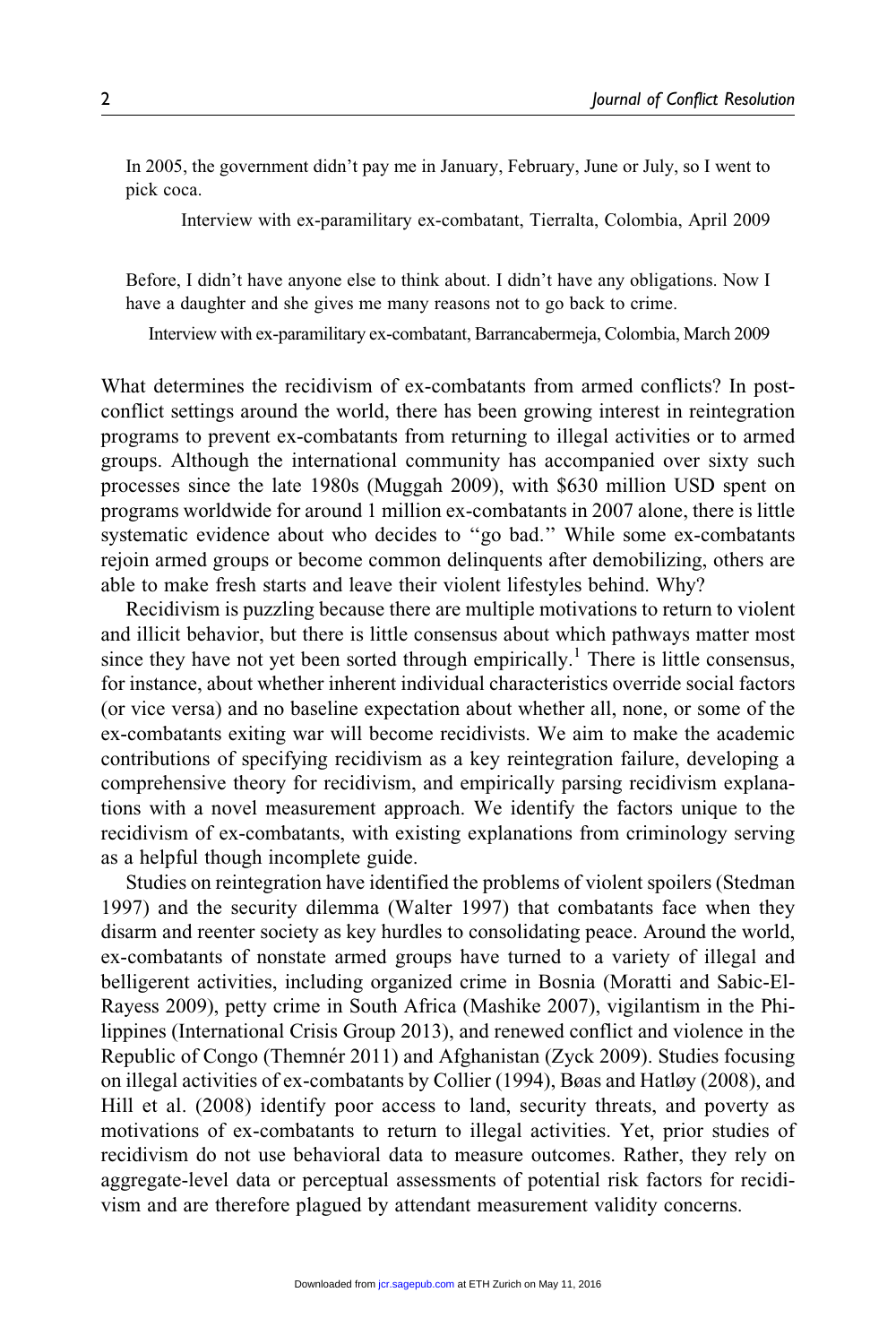In 2005, the government didn't pay me in January, February, June or July, so I went to pick coca.

Interview with ex-paramilitary ex-combatant, Tierralta, Colombia, April 2009

Before, I didn't have anyone else to think about. I didn't have any obligations. Now I have a daughter and she gives me many reasons not to go back to crime.

Interview with ex-paramilitary ex-combatant, Barrancabermeja, Colombia, March 2009

What determines the recidivism of ex-combatants from armed conflicts? In postconflict settings around the world, there has been growing interest in reintegration programs to prevent ex-combatants from returning to illegal activities or to armed groups. Although the international community has accompanied over sixty such processes since the late 1980s (Muggah 2009), with \$630 million USD spent on programs worldwide for around 1 million ex-combatants in 2007 alone, there is little systematic evidence about who decides to ''go bad.'' While some ex-combatants rejoin armed groups or become common delinquents after demobilizing, others are able to make fresh starts and leave their violent lifestyles behind. Why?

Recidivism is puzzling because there are multiple motivations to return to violent and illicit behavior, but there is little consensus about which pathways matter most since they have not yet been sorted through empirically.<sup>1</sup> There is little consensus, for instance, about whether inherent individual characteristics override social factors (or vice versa) and no baseline expectation about whether all, none, or some of the ex-combatants exiting war will become recidivists. We aim to make the academic contributions of specifying recidivism as a key reintegration failure, developing a comprehensive theory for recidivism, and empirically parsing recidivism explanations with a novel measurement approach. We identify the factors unique to the recidivism of ex-combatants, with existing explanations from criminology serving as a helpful though incomplete guide.

Studies on reintegration have identified the problems of violent spoilers (Stedman 1997) and the security dilemma (Walter 1997) that combatants face when they disarm and reenter society as key hurdles to consolidating peace. Around the world, ex-combatants of nonstate armed groups have turned to a variety of illegal and belligerent activities, including organized crime in Bosnia (Moratti and Sabic-El-Rayess 2009), petty crime in South Africa (Mashike 2007), vigilantism in the Philippines (International Crisis Group 2013), and renewed conflict and violence in the Republic of Congo (Themner 2011) and Afghanistan (Zyck 2009). Studies focusing on illegal activities of ex-combatants by Collier (1994), Bøas and Hatløy (2008), and Hill et al. (2008) identify poor access to land, security threats, and poverty as motivations of ex-combatants to return to illegal activities. Yet, prior studies of recidivism do not use behavioral data to measure outcomes. Rather, they rely on aggregate-level data or perceptual assessments of potential risk factors for recidivism and are therefore plagued by attendant measurement validity concerns.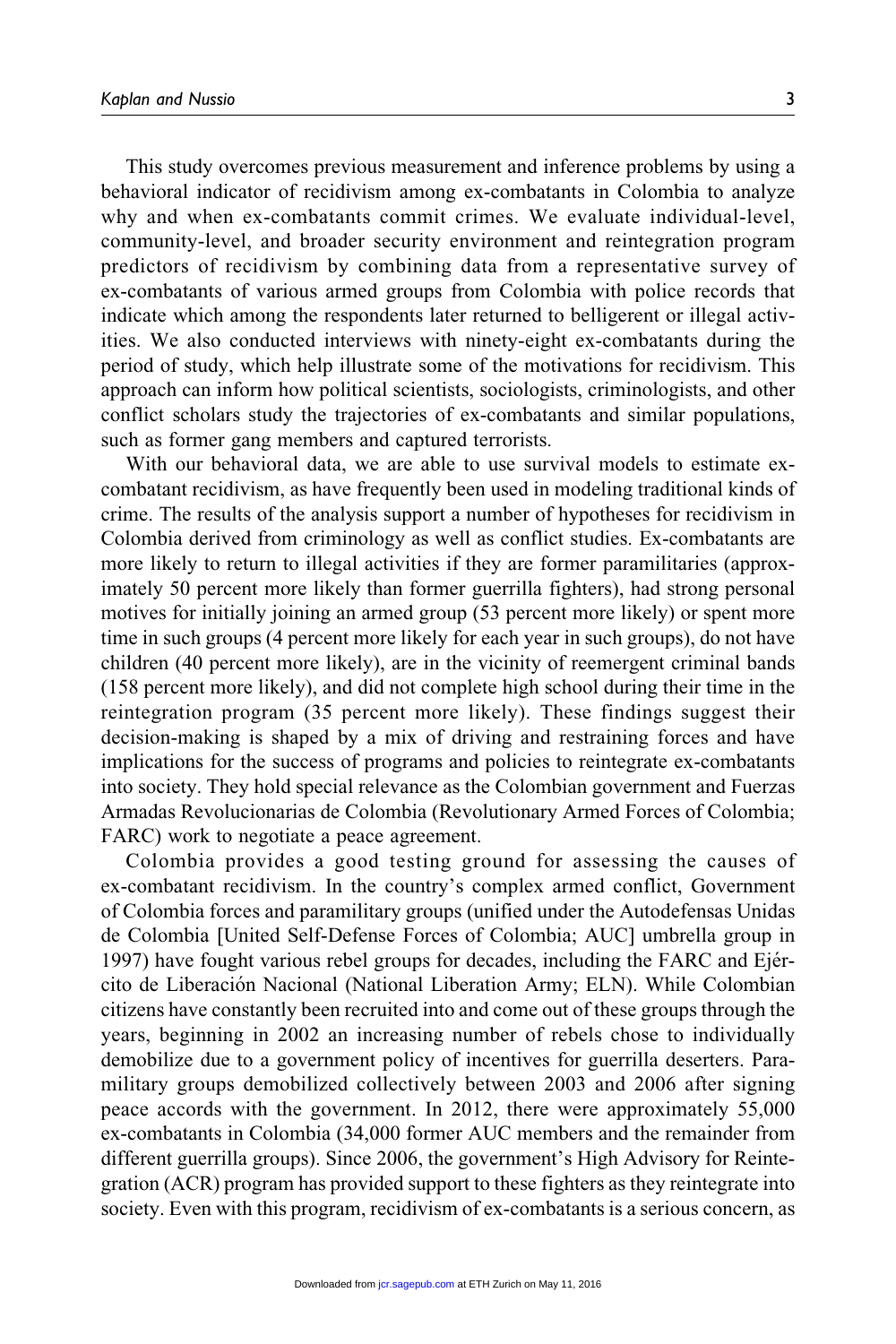This study overcomes previous measurement and inference problems by using a behavioral indicator of recidivism among ex-combatants in Colombia to analyze why and when ex-combatants commit crimes. We evaluate individual-level, community-level, and broader security environment and reintegration program predictors of recidivism by combining data from a representative survey of ex-combatants of various armed groups from Colombia with police records that indicate which among the respondents later returned to belligerent or illegal activities. We also conducted interviews with ninety-eight ex-combatants during the period of study, which help illustrate some of the motivations for recidivism. This approach can inform how political scientists, sociologists, criminologists, and other conflict scholars study the trajectories of ex-combatants and similar populations, such as former gang members and captured terrorists.

With our behavioral data, we are able to use survival models to estimate excombatant recidivism, as have frequently been used in modeling traditional kinds of crime. The results of the analysis support a number of hypotheses for recidivism in Colombia derived from criminology as well as conflict studies. Ex-combatants are more likely to return to illegal activities if they are former paramilitaries (approximately 50 percent more likely than former guerrilla fighters), had strong personal motives for initially joining an armed group (53 percent more likely) or spent more time in such groups (4 percent more likely for each year in such groups), do not have children (40 percent more likely), are in the vicinity of reemergent criminal bands (158 percent more likely), and did not complete high school during their time in the reintegration program (35 percent more likely). These findings suggest their decision-making is shaped by a mix of driving and restraining forces and have implications for the success of programs and policies to reintegrate ex-combatants into society. They hold special relevance as the Colombian government and Fuerzas Armadas Revolucionarias de Colombia (Revolutionary Armed Forces of Colombia; FARC) work to negotiate a peace agreement.

Colombia provides a good testing ground for assessing the causes of ex-combatant recidivism. In the country's complex armed conflict, Government of Colombia forces and paramilitary groups (unified under the Autodefensas Unidas de Colombia [United Self-Defense Forces of Colombia; AUC] umbrella group in 1997) have fought various rebel groups for decades, including the FARC and Ejército de Liberación Nacional (National Liberation Army; ELN). While Colombian citizens have constantly been recruited into and come out of these groups through the years, beginning in 2002 an increasing number of rebels chose to individually demobilize due to a government policy of incentives for guerrilla deserters. Paramilitary groups demobilized collectively between 2003 and 2006 after signing peace accords with the government. In 2012, there were approximately 55,000 ex-combatants in Colombia (34,000 former AUC members and the remainder from different guerrilla groups). Since 2006, the government's High Advisory for Reintegration (ACR) program has provided support to these fighters as they reintegrate into society. Even with this program, recidivism of ex-combatants is a serious concern, as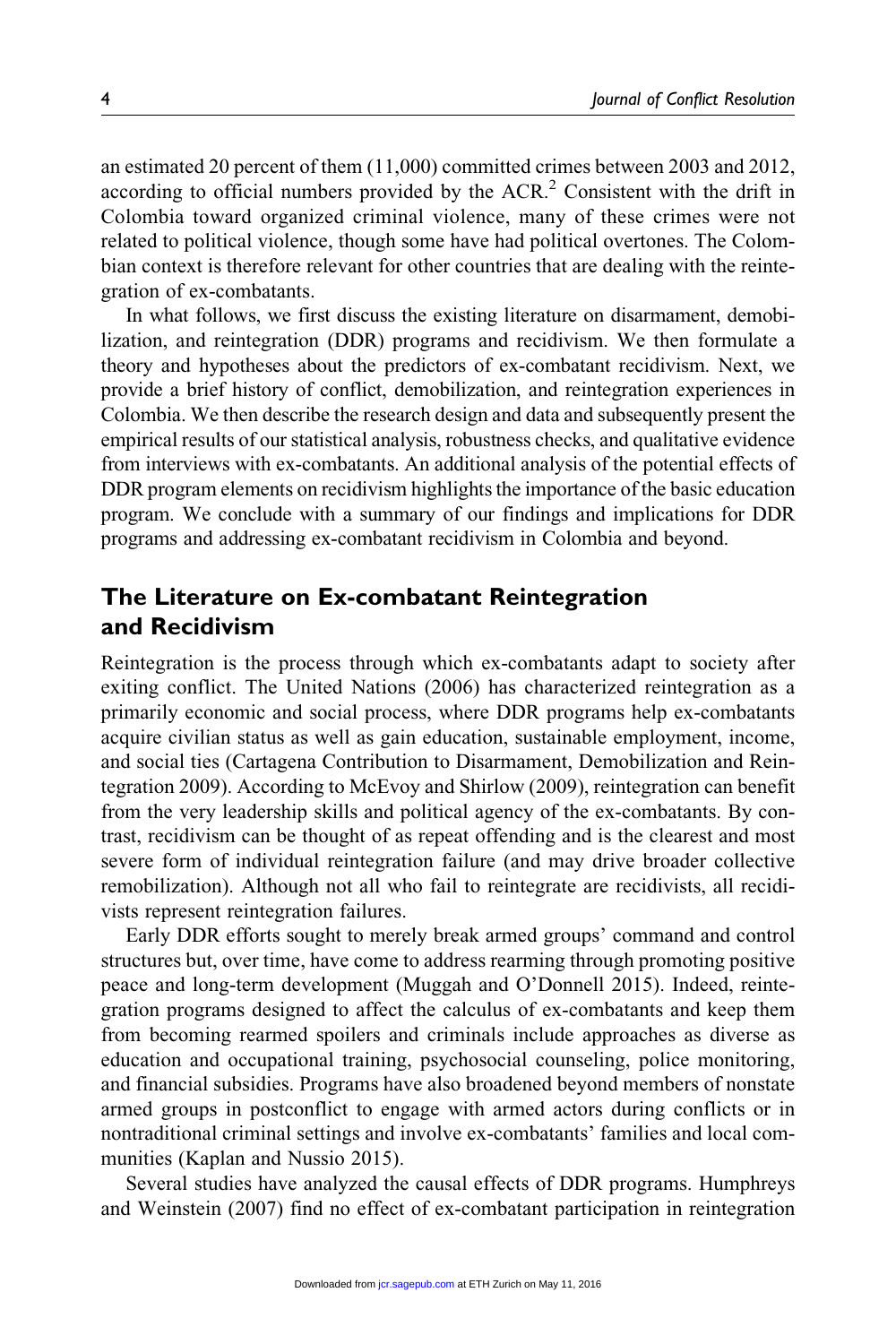an estimated 20 percent of them (11,000) committed crimes between 2003 and 2012, according to official numbers provided by the  $ACR<sup>2</sup>$  Consistent with the drift in Colombia toward organized criminal violence, many of these crimes were not related to political violence, though some have had political overtones. The Colombian context is therefore relevant for other countries that are dealing with the reintegration of ex-combatants.

In what follows, we first discuss the existing literature on disarmament, demobilization, and reintegration (DDR) programs and recidivism. We then formulate a theory and hypotheses about the predictors of ex-combatant recidivism. Next, we provide a brief history of conflict, demobilization, and reintegration experiences in Colombia. We then describe the research design and data and subsequently present the empirical results of our statistical analysis, robustness checks, and qualitative evidence from interviews with ex-combatants. An additional analysis of the potential effects of DDR program elements on recidivism highlights the importance of the basic education program. We conclude with a summary of our findings and implications for DDR programs and addressing ex-combatant recidivism in Colombia and beyond.

## The Literature on Ex-combatant Reintegration and Recidivism

Reintegration is the process through which ex-combatants adapt to society after exiting conflict. The United Nations (2006) has characterized reintegration as a primarily economic and social process, where DDR programs help ex-combatants acquire civilian status as well as gain education, sustainable employment, income, and social ties (Cartagena Contribution to Disarmament, Demobilization and Reintegration 2009). According to McEvoy and Shirlow (2009), reintegration can benefit from the very leadership skills and political agency of the ex-combatants. By contrast, recidivism can be thought of as repeat offending and is the clearest and most severe form of individual reintegration failure (and may drive broader collective remobilization). Although not all who fail to reintegrate are recidivists, all recidivists represent reintegration failures.

Early DDR efforts sought to merely break armed groups' command and control structures but, over time, have come to address rearming through promoting positive peace and long-term development (Muggah and O'Donnell 2015). Indeed, reintegration programs designed to affect the calculus of ex-combatants and keep them from becoming rearmed spoilers and criminals include approaches as diverse as education and occupational training, psychosocial counseling, police monitoring, and financial subsidies. Programs have also broadened beyond members of nonstate armed groups in postconflict to engage with armed actors during conflicts or in nontraditional criminal settings and involve ex-combatants' families and local communities (Kaplan and Nussio 2015).

Several studies have analyzed the causal effects of DDR programs. Humphreys and Weinstein (2007) find no effect of ex-combatant participation in reintegration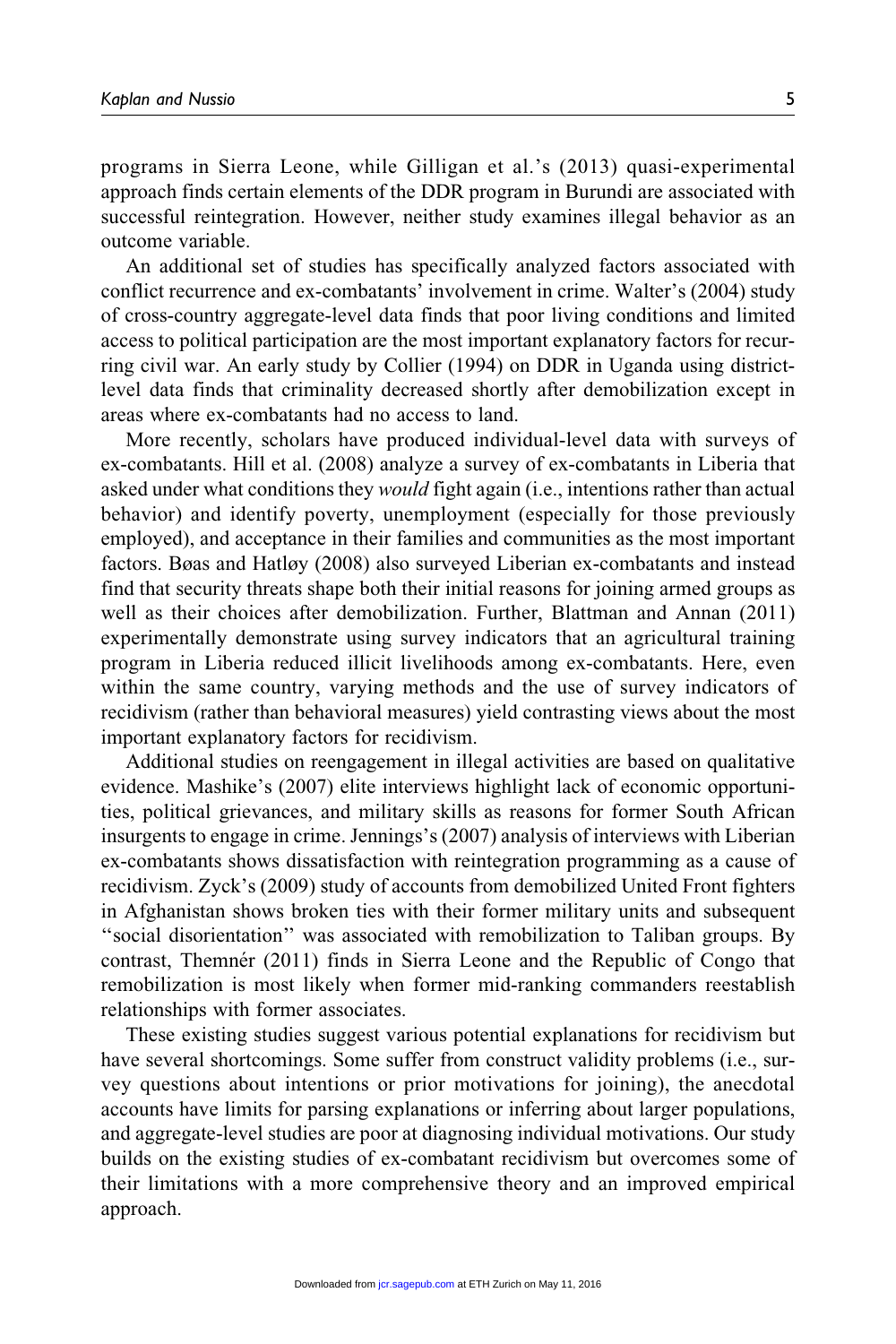programs in Sierra Leone, while Gilligan et al.'s (2013) quasi-experimental approach finds certain elements of the DDR program in Burundi are associated with successful reintegration. However, neither study examines illegal behavior as an outcome variable.

An additional set of studies has specifically analyzed factors associated with conflict recurrence and ex-combatants' involvement in crime. Walter's (2004) study of cross-country aggregate-level data finds that poor living conditions and limited access to political participation are the most important explanatory factors for recurring civil war. An early study by Collier (1994) on DDR in Uganda using districtlevel data finds that criminality decreased shortly after demobilization except in areas where ex-combatants had no access to land.

More recently, scholars have produced individual-level data with surveys of ex-combatants. Hill et al. (2008) analyze a survey of ex-combatants in Liberia that asked under what conditions they *would* fight again (i.e., intentions rather than actual behavior) and identify poverty, unemployment (especially for those previously employed), and acceptance in their families and communities as the most important factors. Bøas and Hatløy (2008) also surveyed Liberian ex-combatants and instead find that security threats shape both their initial reasons for joining armed groups as well as their choices after demobilization. Further, Blattman and Annan (2011) experimentally demonstrate using survey indicators that an agricultural training program in Liberia reduced illicit livelihoods among ex-combatants. Here, even within the same country, varying methods and the use of survey indicators of recidivism (rather than behavioral measures) yield contrasting views about the most important explanatory factors for recidivism.

Additional studies on reengagement in illegal activities are based on qualitative evidence. Mashike's (2007) elite interviews highlight lack of economic opportunities, political grievances, and military skills as reasons for former South African insurgents to engage in crime. Jennings's (2007) analysis of interviews with Liberian ex-combatants shows dissatisfaction with reintegration programming as a cause of recidivism. Zyck's (2009) study of accounts from demobilized United Front fighters in Afghanistan shows broken ties with their former military units and subsequent ''social disorientation'' was associated with remobilization to Taliban groups. By contrast, Themner (2011) finds in Sierra Leone and the Republic of Congo that remobilization is most likely when former mid-ranking commanders reestablish relationships with former associates.

These existing studies suggest various potential explanations for recidivism but have several shortcomings. Some suffer from construct validity problems (i.e., survey questions about intentions or prior motivations for joining), the anecdotal accounts have limits for parsing explanations or inferring about larger populations, and aggregate-level studies are poor at diagnosing individual motivations. Our study builds on the existing studies of ex-combatant recidivism but overcomes some of their limitations with a more comprehensive theory and an improved empirical approach.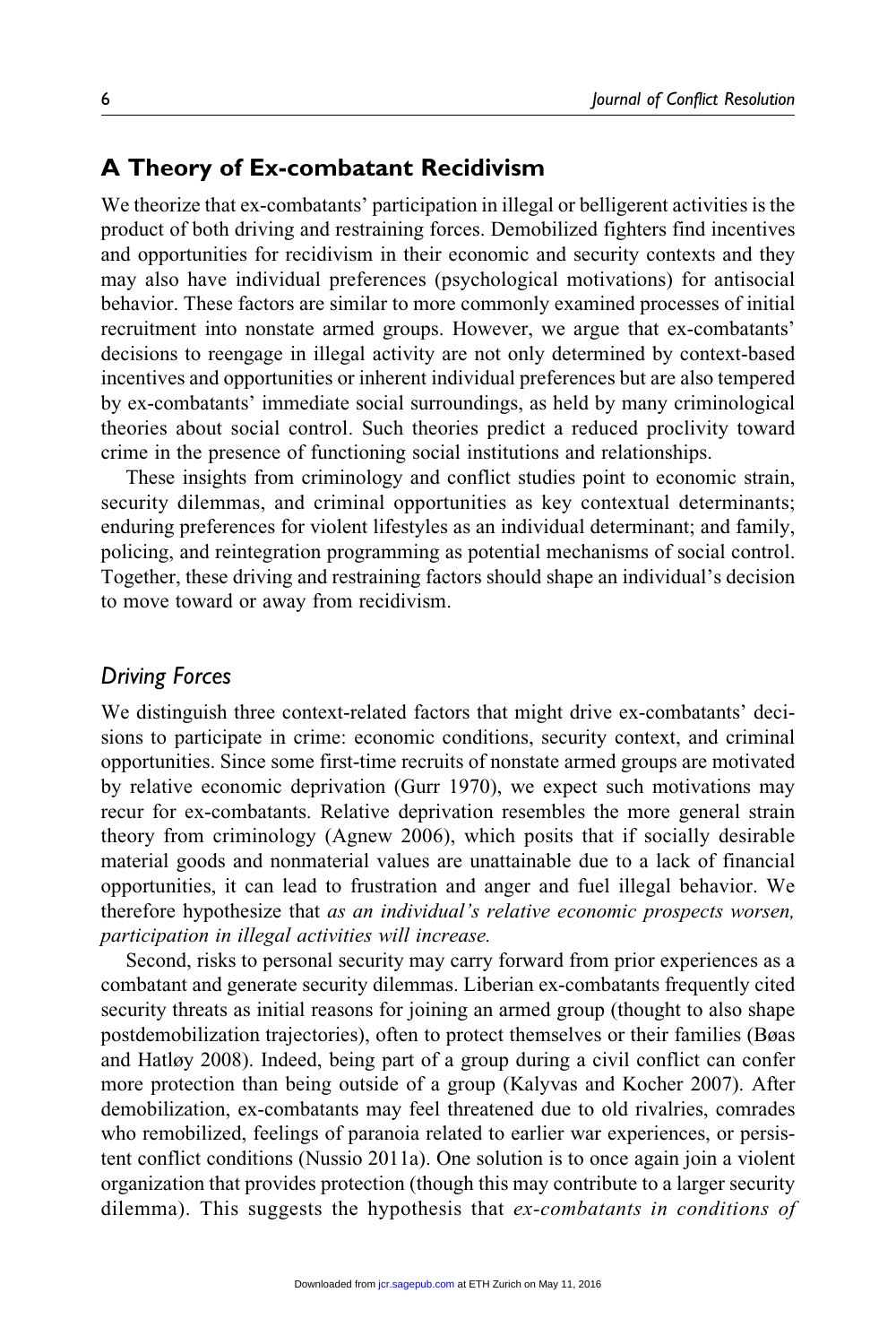## A Theory of Ex-combatant Recidivism

We theorize that ex-combatants' participation in illegal or belligerent activities is the product of both driving and restraining forces. Demobilized fighters find incentives and opportunities for recidivism in their economic and security contexts and they may also have individual preferences (psychological motivations) for antisocial behavior. These factors are similar to more commonly examined processes of initial recruitment into nonstate armed groups. However, we argue that ex-combatants' decisions to reengage in illegal activity are not only determined by context-based incentives and opportunities or inherent individual preferences but are also tempered by ex-combatants' immediate social surroundings, as held by many criminological theories about social control. Such theories predict a reduced proclivity toward crime in the presence of functioning social institutions and relationships.

These insights from criminology and conflict studies point to economic strain, security dilemmas, and criminal opportunities as key contextual determinants; enduring preferences for violent lifestyles as an individual determinant; and family, policing, and reintegration programming as potential mechanisms of social control. Together, these driving and restraining factors should shape an individual's decision to move toward or away from recidivism.

## Driving Forces

We distinguish three context-related factors that might drive ex-combatants' decisions to participate in crime: economic conditions, security context, and criminal opportunities. Since some first-time recruits of nonstate armed groups are motivated by relative economic deprivation (Gurr 1970), we expect such motivations may recur for ex-combatants. Relative deprivation resembles the more general strain theory from criminology (Agnew 2006), which posits that if socially desirable material goods and nonmaterial values are unattainable due to a lack of financial opportunities, it can lead to frustration and anger and fuel illegal behavior. We therefore hypothesize that as an individual's relative economic prospects worsen, participation in illegal activities will increase.

Second, risks to personal security may carry forward from prior experiences as a combatant and generate security dilemmas. Liberian ex-combatants frequently cited security threats as initial reasons for joining an armed group (thought to also shape postdemobilization trajectories), often to protect themselves or their families (Bøas and Hatløy 2008). Indeed, being part of a group during a civil conflict can confer more protection than being outside of a group (Kalyvas and Kocher 2007). After demobilization, ex-combatants may feel threatened due to old rivalries, comrades who remobilized, feelings of paranoia related to earlier war experiences, or persistent conflict conditions (Nussio 2011a). One solution is to once again join a violent organization that provides protection (though this may contribute to a larger security dilemma). This suggests the hypothesis that *ex-combatants in conditions of*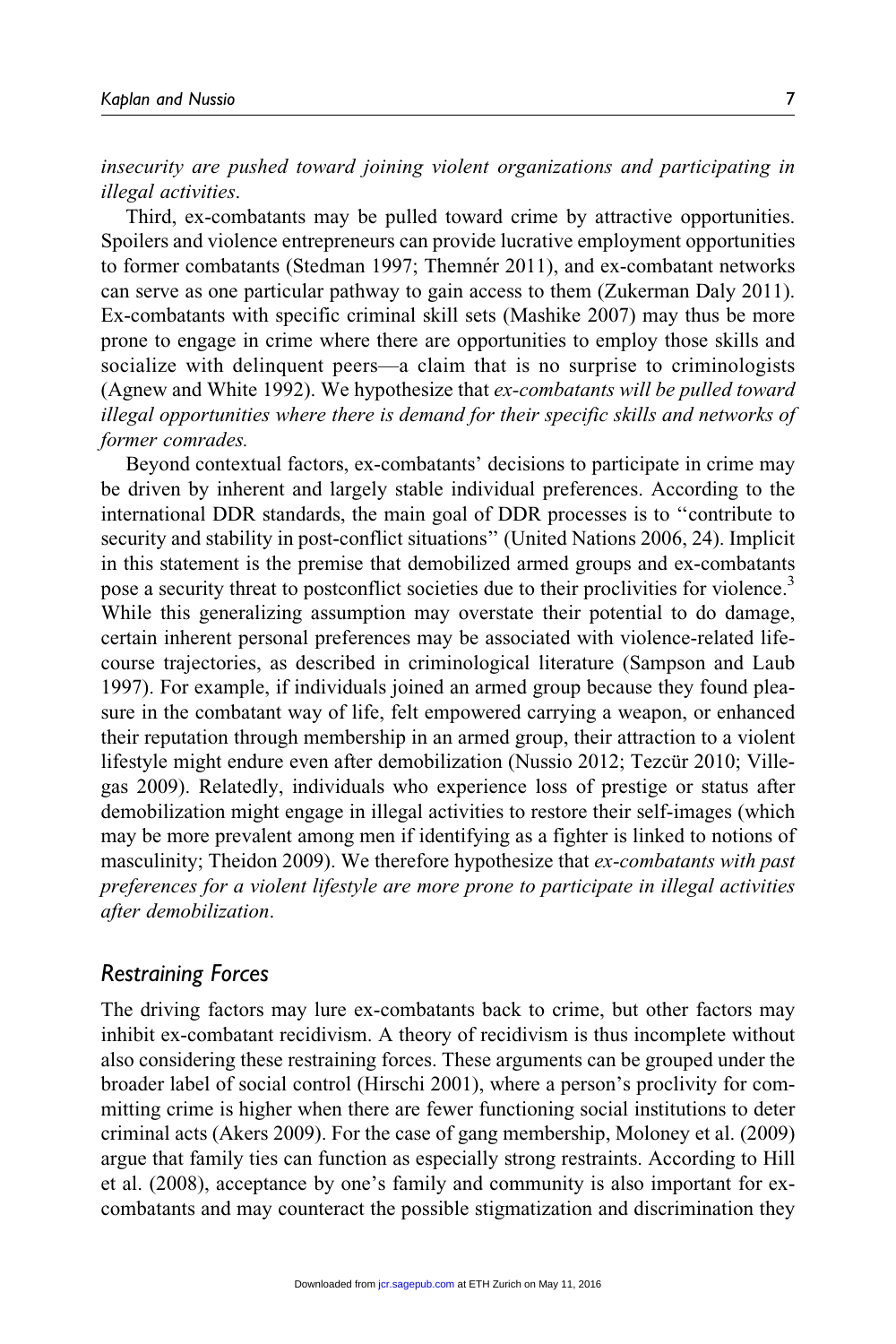insecurity are pushed toward joining violent organizations and participating in illegal activities.

Third, ex-combatants may be pulled toward crime by attractive opportunities. Spoilers and violence entrepreneurs can provide lucrative employment opportunities to former combatants (Stedman 1997; Themnér 2011), and ex-combatant networks can serve as one particular pathway to gain access to them (Zukerman Daly 2011). Ex-combatants with specific criminal skill sets (Mashike 2007) may thus be more prone to engage in crime where there are opportunities to employ those skills and socialize with delinquent peers—a claim that is no surprise to criminologists (Agnew and White 1992). We hypothesize that ex-combatants will be pulled toward illegal opportunities where there is demand for their specific skills and networks of former comrades.

Beyond contextual factors, ex-combatants' decisions to participate in crime may be driven by inherent and largely stable individual preferences. According to the international DDR standards, the main goal of DDR processes is to ''contribute to security and stability in post-conflict situations'' (United Nations 2006, 24). Implicit in this statement is the premise that demobilized armed groups and ex-combatants pose a security threat to postconflict societies due to their proclivities for violence.<sup>3</sup> While this generalizing assumption may overstate their potential to do damage, certain inherent personal preferences may be associated with violence-related lifecourse trajectories, as described in criminological literature (Sampson and Laub 1997). For example, if individuals joined an armed group because they found pleasure in the combatant way of life, felt empowered carrying a weapon, or enhanced their reputation through membership in an armed group, their attraction to a violent lifestyle might endure even after demobilization (Nussio 2012; Tezcür 2010; Villegas 2009). Relatedly, individuals who experience loss of prestige or status after demobilization might engage in illegal activities to restore their self-images (which may be more prevalent among men if identifying as a fighter is linked to notions of masculinity; Theidon 2009). We therefore hypothesize that ex-combatants with past preferences for a violent lifestyle are more prone to participate in illegal activities after demobilization.

#### Restraining Forces

The driving factors may lure ex-combatants back to crime, but other factors may inhibit ex-combatant recidivism. A theory of recidivism is thus incomplete without also considering these restraining forces. These arguments can be grouped under the broader label of social control (Hirschi 2001), where a person's proclivity for committing crime is higher when there are fewer functioning social institutions to deter criminal acts (Akers 2009). For the case of gang membership, Moloney et al. (2009) argue that family ties can function as especially strong restraints. According to Hill et al. (2008), acceptance by one's family and community is also important for excombatants and may counteract the possible stigmatization and discrimination they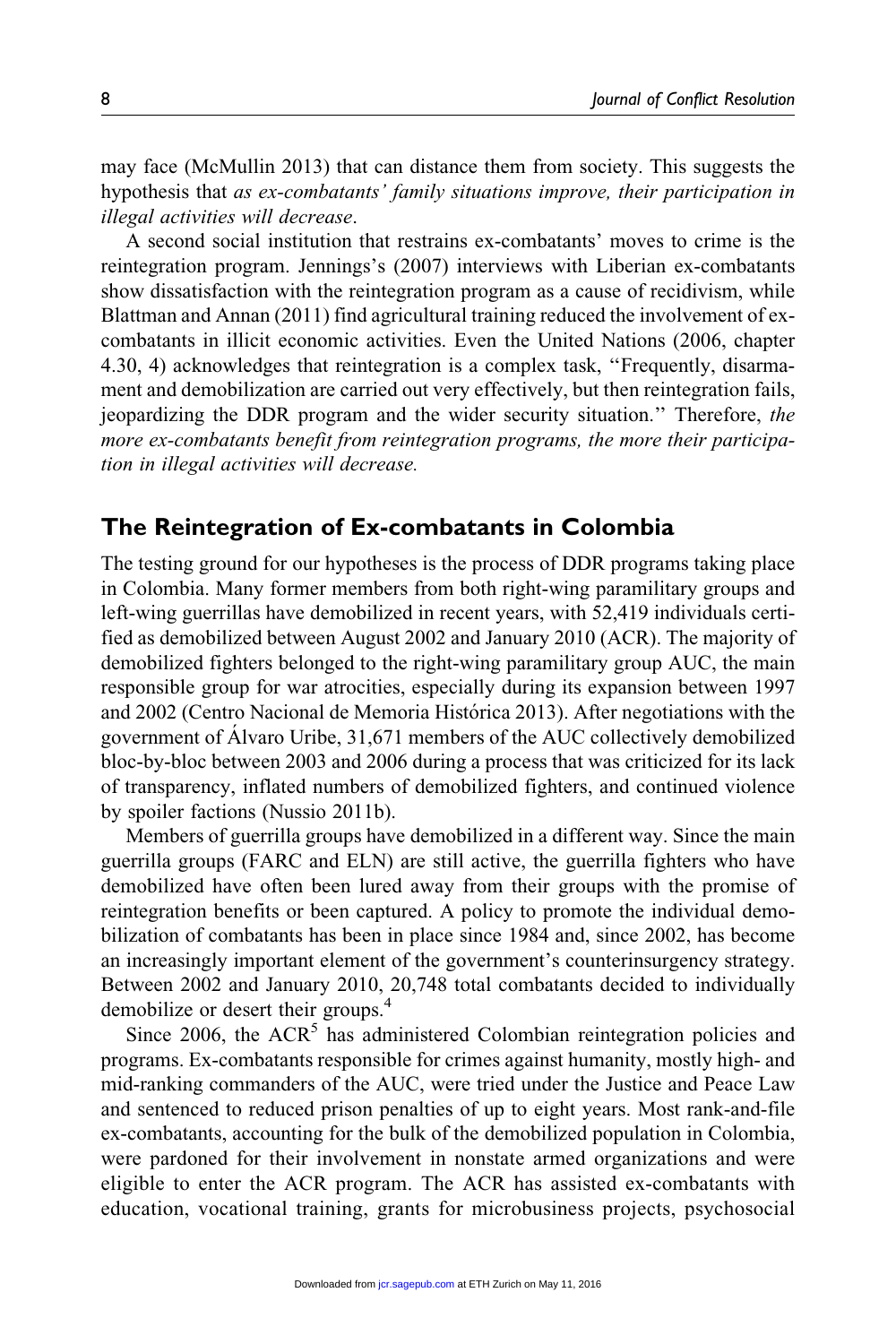may face (McMullin 2013) that can distance them from society. This suggests the hypothesis that as ex-combatants' family situations improve, their participation in illegal activities will decrease.

A second social institution that restrains ex-combatants' moves to crime is the reintegration program. Jennings's (2007) interviews with Liberian ex-combatants show dissatisfaction with the reintegration program as a cause of recidivism, while Blattman and Annan (2011) find agricultural training reduced the involvement of excombatants in illicit economic activities. Even the United Nations (2006, chapter 4.30, 4) acknowledges that reintegration is a complex task, ''Frequently, disarmament and demobilization are carried out very effectively, but then reintegration fails, jeopardizing the DDR program and the wider security situation.'' Therefore, the more ex-combatants benefit from reintegration programs, the more their participation in illegal activities will decrease.

## The Reintegration of Ex-combatants in Colombia

The testing ground for our hypotheses is the process of DDR programs taking place in Colombia. Many former members from both right-wing paramilitary groups and left-wing guerrillas have demobilized in recent years, with 52,419 individuals certified as demobilized between August 2002 and January 2010 (ACR). The majority of demobilized fighters belonged to the right-wing paramilitary group AUC, the main responsible group for war atrocities, especially during its expansion between 1997 and 2002 (Centro Nacional de Memoria Histórica 2013). After negotiations with the government of Álvaro Uribe, 31,671 members of the AUC collectively demobilized bloc-by-bloc between 2003 and 2006 during a process that was criticized for its lack of transparency, inflated numbers of demobilized fighters, and continued violence by spoiler factions (Nussio 2011b).

Members of guerrilla groups have demobilized in a different way. Since the main guerrilla groups (FARC and ELN) are still active, the guerrilla fighters who have demobilized have often been lured away from their groups with the promise of reintegration benefits or been captured. A policy to promote the individual demobilization of combatants has been in place since 1984 and, since 2002, has become an increasingly important element of the government's counterinsurgency strategy. Between 2002 and January 2010, 20,748 total combatants decided to individually demobilize or desert their groups.<sup>4</sup>

Since 2006, the  $ACR<sup>5</sup>$  has administered Colombian reintegration policies and programs. Ex-combatants responsible for crimes against humanity, mostly high- and mid-ranking commanders of the AUC, were tried under the Justice and Peace Law and sentenced to reduced prison penalties of up to eight years. Most rank-and-file ex-combatants, accounting for the bulk of the demobilized population in Colombia, were pardoned for their involvement in nonstate armed organizations and were eligible to enter the ACR program. The ACR has assisted ex-combatants with education, vocational training, grants for microbusiness projects, psychosocial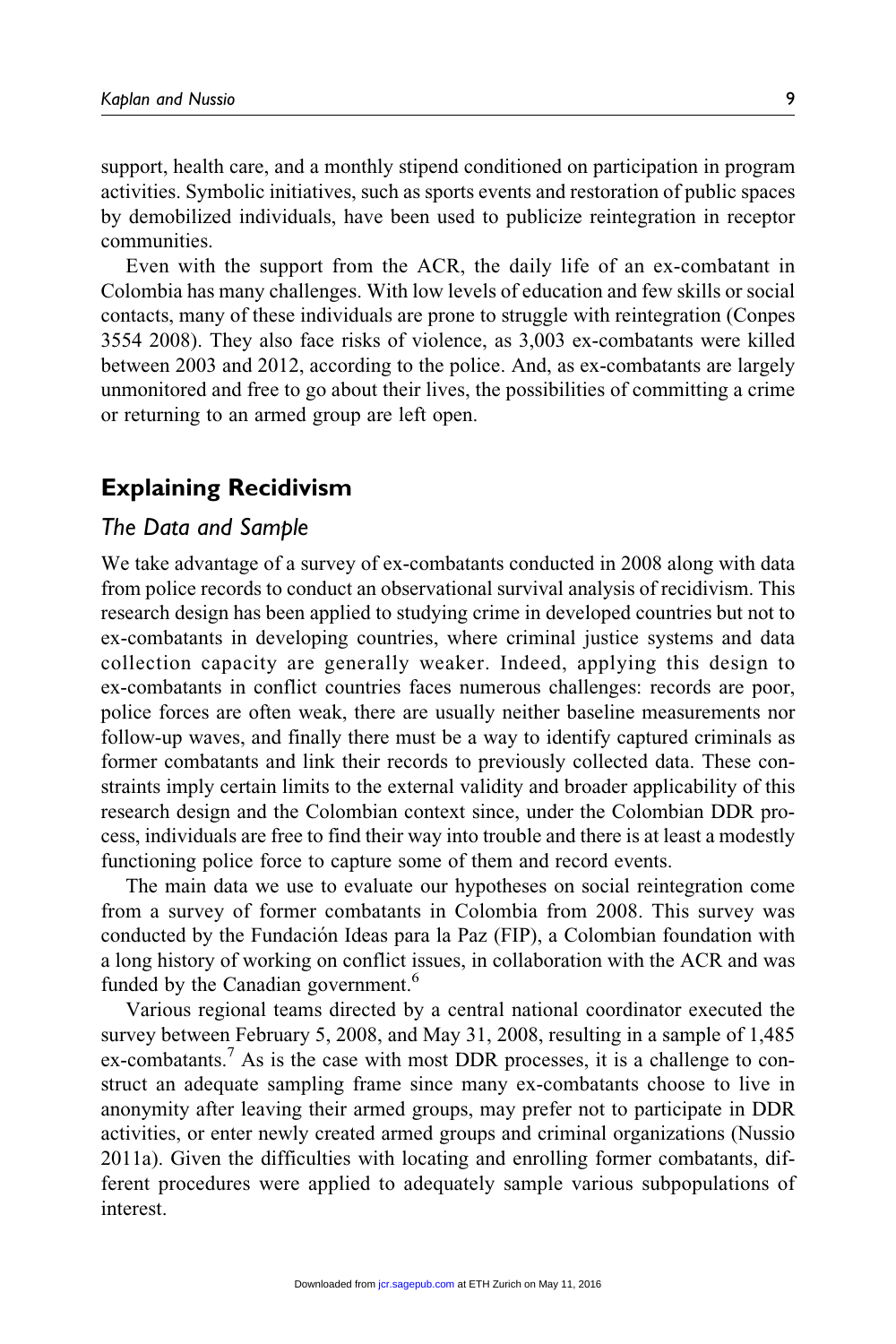support, health care, and a monthly stipend conditioned on participation in program activities. Symbolic initiatives, such as sports events and restoration of public spaces by demobilized individuals, have been used to publicize reintegration in receptor communities.

Even with the support from the ACR, the daily life of an ex-combatant in Colombia has many challenges. With low levels of education and few skills or social contacts, many of these individuals are prone to struggle with reintegration (Conpes 3554 2008). They also face risks of violence, as 3,003 ex-combatants were killed between 2003 and 2012, according to the police. And, as ex-combatants are largely unmonitored and free to go about their lives, the possibilities of committing a crime or returning to an armed group are left open.

## Explaining Recidivism

#### The Data and Sample

We take advantage of a survey of ex-combatants conducted in 2008 along with data from police records to conduct an observational survival analysis of recidivism. This research design has been applied to studying crime in developed countries but not to ex-combatants in developing countries, where criminal justice systems and data collection capacity are generally weaker. Indeed, applying this design to ex-combatants in conflict countries faces numerous challenges: records are poor, police forces are often weak, there are usually neither baseline measurements nor follow-up waves, and finally there must be a way to identify captured criminals as former combatants and link their records to previously collected data. These constraints imply certain limits to the external validity and broader applicability of this research design and the Colombian context since, under the Colombian DDR process, individuals are free to find their way into trouble and there is at least a modestly functioning police force to capture some of them and record events.

The main data we use to evaluate our hypotheses on social reintegration come from a survey of former combatants in Colombia from 2008. This survey was conducted by the Fundación Ideas para la Paz (FIP), a Colombian foundation with a long history of working on conflict issues, in collaboration with the ACR and was funded by the Canadian government.<sup>6</sup>

Various regional teams directed by a central national coordinator executed the survey between February 5, 2008, and May 31, 2008, resulting in a sample of 1,485 ex-combatants.<sup>7</sup> As is the case with most DDR processes, it is a challenge to construct an adequate sampling frame since many ex-combatants choose to live in anonymity after leaving their armed groups, may prefer not to participate in DDR activities, or enter newly created armed groups and criminal organizations (Nussio 2011a). Given the difficulties with locating and enrolling former combatants, different procedures were applied to adequately sample various subpopulations of interest.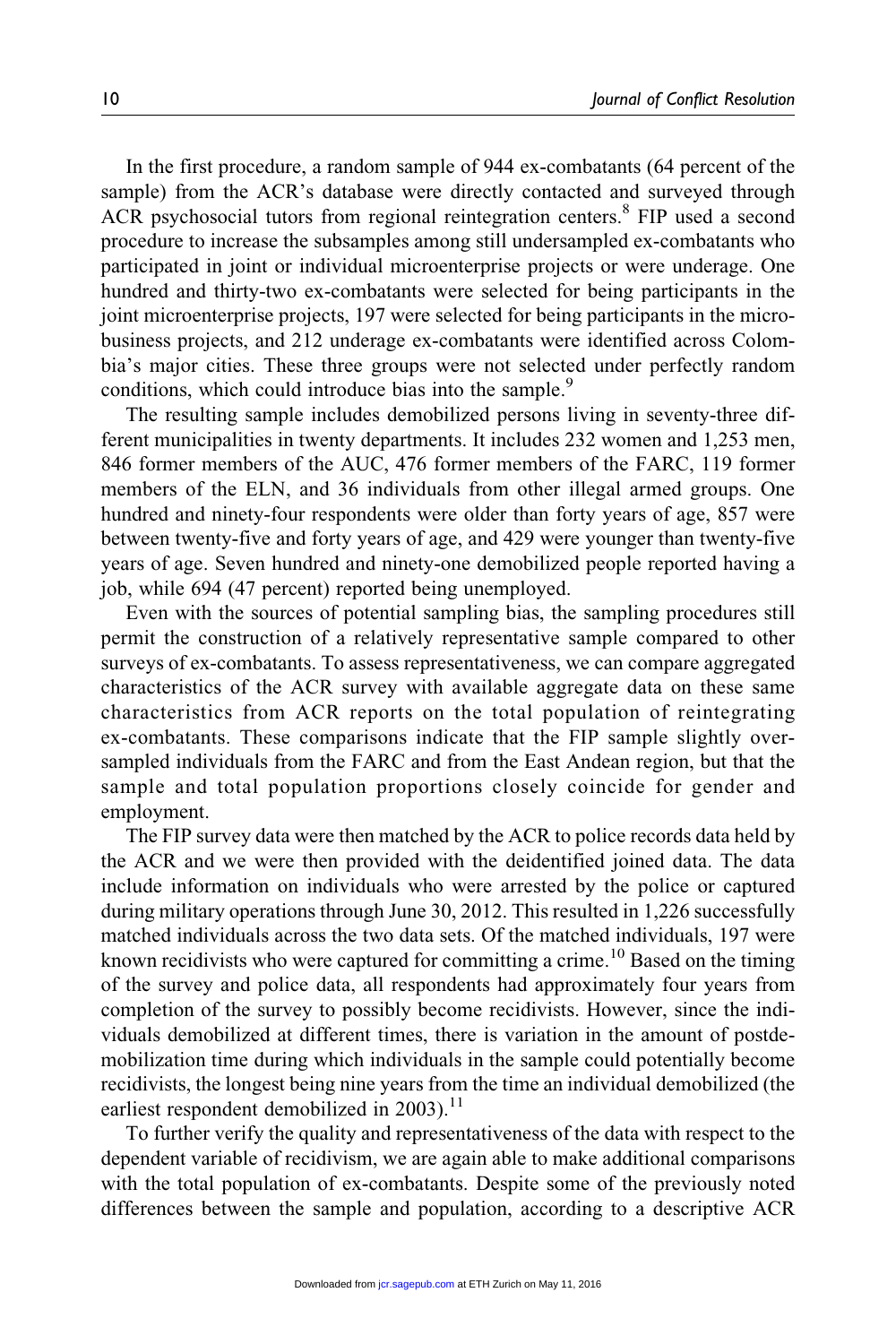In the first procedure, a random sample of 944 ex-combatants (64 percent of the sample) from the ACR's database were directly contacted and surveyed through ACR psychosocial tutors from regional reintegration centers.<sup>8</sup> FIP used a second procedure to increase the subsamples among still undersampled ex-combatants who participated in joint or individual microenterprise projects or were underage. One hundred and thirty-two ex-combatants were selected for being participants in the joint microenterprise projects, 197 were selected for being participants in the microbusiness projects, and 212 underage ex-combatants were identified across Colombia's major cities. These three groups were not selected under perfectly random conditions, which could introduce bias into the sample.<sup>9</sup>

The resulting sample includes demobilized persons living in seventy-three different municipalities in twenty departments. It includes 232 women and 1,253 men, 846 former members of the AUC, 476 former members of the FARC, 119 former members of the ELN, and 36 individuals from other illegal armed groups. One hundred and ninety-four respondents were older than forty years of age, 857 were between twenty-five and forty years of age, and 429 were younger than twenty-five years of age. Seven hundred and ninety-one demobilized people reported having a job, while 694 (47 percent) reported being unemployed.

Even with the sources of potential sampling bias, the sampling procedures still permit the construction of a relatively representative sample compared to other surveys of ex-combatants. To assess representativeness, we can compare aggregated characteristics of the ACR survey with available aggregate data on these same characteristics from ACR reports on the total population of reintegrating ex-combatants. These comparisons indicate that the FIP sample slightly oversampled individuals from the FARC and from the East Andean region, but that the sample and total population proportions closely coincide for gender and employment.

The FIP survey data were then matched by the ACR to police records data held by the ACR and we were then provided with the deidentified joined data. The data include information on individuals who were arrested by the police or captured during military operations through June 30, 2012. This resulted in 1,226 successfully matched individuals across the two data sets. Of the matched individuals, 197 were known recidivists who were captured for committing a crime.<sup>10</sup> Based on the timing of the survey and police data, all respondents had approximately four years from completion of the survey to possibly become recidivists. However, since the individuals demobilized at different times, there is variation in the amount of postdemobilization time during which individuals in the sample could potentially become recidivists, the longest being nine years from the time an individual demobilized (the earliest respondent demobilized in  $2003$ ).<sup>11</sup>

To further verify the quality and representativeness of the data with respect to the dependent variable of recidivism, we are again able to make additional comparisons with the total population of ex-combatants. Despite some of the previously noted differences between the sample and population, according to a descriptive ACR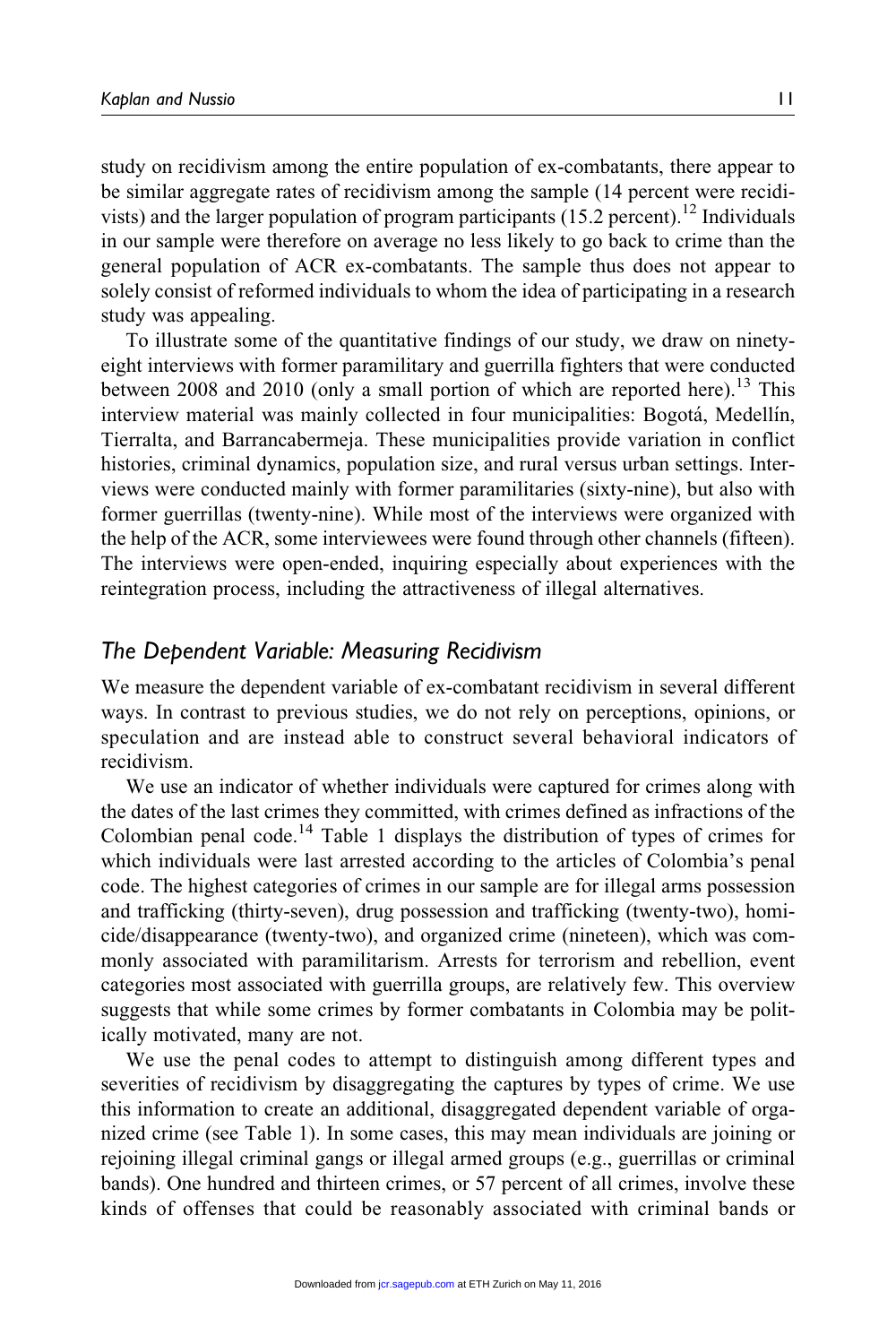study on recidivism among the entire population of ex-combatants, there appear to be similar aggregate rates of recidivism among the sample (14 percent were recidivists) and the larger population of program participants  $(15.2 \text{ percent})$ .<sup>12</sup> Individuals in our sample were therefore on average no less likely to go back to crime than the general population of ACR ex-combatants. The sample thus does not appear to solely consist of reformed individuals to whom the idea of participating in a research study was appealing.

To illustrate some of the quantitative findings of our study, we draw on ninetyeight interviews with former paramilitary and guerrilla fighters that were conducted between 2008 and 2010 (only a small portion of which are reported here).<sup>13</sup> This interview material was mainly collected in four municipalities: Bogotá, Medellín, Tierralta, and Barrancabermeja. These municipalities provide variation in conflict histories, criminal dynamics, population size, and rural versus urban settings. Interviews were conducted mainly with former paramilitaries (sixty-nine), but also with former guerrillas (twenty-nine). While most of the interviews were organized with the help of the ACR, some interviewees were found through other channels (fifteen). The interviews were open-ended, inquiring especially about experiences with the reintegration process, including the attractiveness of illegal alternatives.

#### The Dependent Variable: Measuring Recidivism

We measure the dependent variable of ex-combatant recidivism in several different ways. In contrast to previous studies, we do not rely on perceptions, opinions, or speculation and are instead able to construct several behavioral indicators of recidivism.

We use an indicator of whether individuals were captured for crimes along with the dates of the last crimes they committed, with crimes defined as infractions of the Colombian penal code.<sup>14</sup> Table 1 displays the distribution of types of crimes for which individuals were last arrested according to the articles of Colombia's penal code. The highest categories of crimes in our sample are for illegal arms possession and trafficking (thirty-seven), drug possession and trafficking (twenty-two), homicide/disappearance (twenty-two), and organized crime (nineteen), which was commonly associated with paramilitarism. Arrests for terrorism and rebellion, event categories most associated with guerrilla groups, are relatively few. This overview suggests that while some crimes by former combatants in Colombia may be politically motivated, many are not.

We use the penal codes to attempt to distinguish among different types and severities of recidivism by disaggregating the captures by types of crime. We use this information to create an additional, disaggregated dependent variable of organized crime (see Table 1). In some cases, this may mean individuals are joining or rejoining illegal criminal gangs or illegal armed groups (e.g., guerrillas or criminal bands). One hundred and thirteen crimes, or 57 percent of all crimes, involve these kinds of offenses that could be reasonably associated with criminal bands or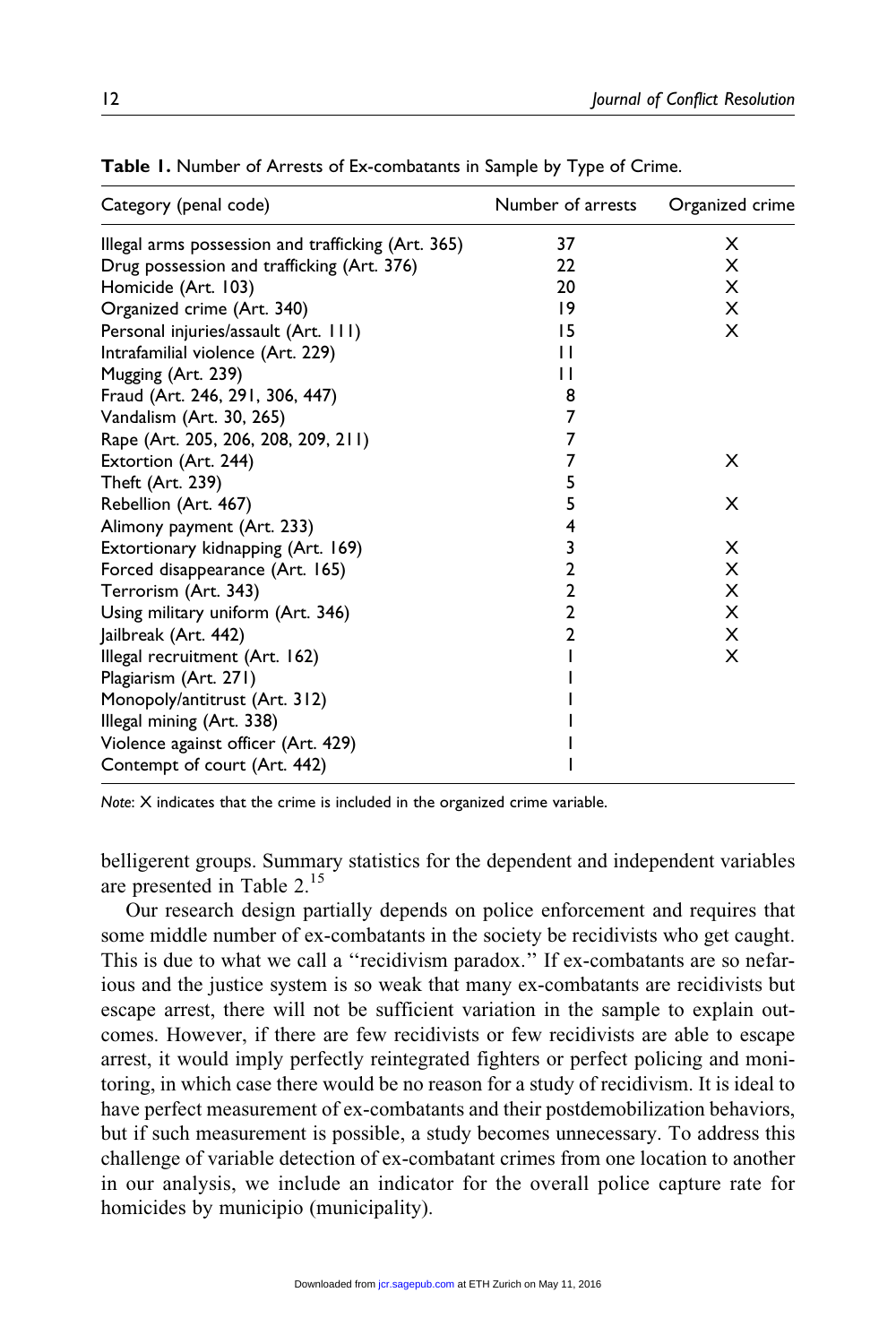| Category (penal code)                              | Number of arrests       | Organized crime |
|----------------------------------------------------|-------------------------|-----------------|
| Illegal arms possession and trafficking (Art. 365) | 37                      | х               |
| Drug possession and trafficking (Art. 376)         | 22                      | X               |
| Homicide (Art. 103)                                | 20                      | X               |
| Organized crime (Art. 340)                         | 9                       | X               |
| Personal injuries/assault (Art. 111)               | 15                      | X               |
| Intrafamilial violence (Art. 229)                  | $\mathbf{1}$            |                 |
| Mugging (Art. 239)                                 | П                       |                 |
| Fraud (Art. 246, 291, 306, 447)                    | 8                       |                 |
| Vandalism (Art. 30, 265)                           | 7                       |                 |
| Rape (Art. 205, 206, 208, 209, 211)                | 7                       |                 |
| Extortion (Art. 244)                               | 7                       | X               |
| Theft (Art. 239)                                   | 5                       |                 |
| Rebellion (Art. 467)                               | 5                       | X               |
| Alimony payment (Art. 233)                         | 4                       |                 |
| Extortionary kidnapping (Art. 169)                 | 3                       | X               |
| Forced disappearance (Art. 165)                    | $\mathbf 2$             | X               |
| Terrorism (Art. 343)                               | $\overline{2}$          | X               |
| Using military uniform (Art. 346)                  | $\overline{\mathbf{c}}$ | X               |
| Jailbreak (Art. 442)                               | $\overline{2}$          | X               |
| Illegal recruitment (Art. 162)                     |                         | X               |
| Plagiarism (Art. 271)                              |                         |                 |
| Monopoly/antitrust (Art. 312)                      |                         |                 |
| Illegal mining (Art. 338)                          |                         |                 |
| Violence against officer (Art. 429)                |                         |                 |
| Contempt of court (Art. 442)                       |                         |                 |

Table 1. Number of Arrests of Ex-combatants in Sample by Type of Crime.

Note: X indicates that the crime is included in the organized crime variable.

belligerent groups. Summary statistics for the dependent and independent variables are presented in Table 2.<sup>15</sup>

Our research design partially depends on police enforcement and requires that some middle number of ex-combatants in the society be recidivists who get caught. This is due to what we call a ''recidivism paradox.'' If ex-combatants are so nefarious and the justice system is so weak that many ex-combatants are recidivists but escape arrest, there will not be sufficient variation in the sample to explain outcomes. However, if there are few recidivists or few recidivists are able to escape arrest, it would imply perfectly reintegrated fighters or perfect policing and monitoring, in which case there would be no reason for a study of recidivism. It is ideal to have perfect measurement of ex-combatants and their postdemobilization behaviors, but if such measurement is possible, a study becomes unnecessary. To address this challenge of variable detection of ex-combatant crimes from one location to another in our analysis, we include an indicator for the overall police capture rate for homicides by municipio (municipality).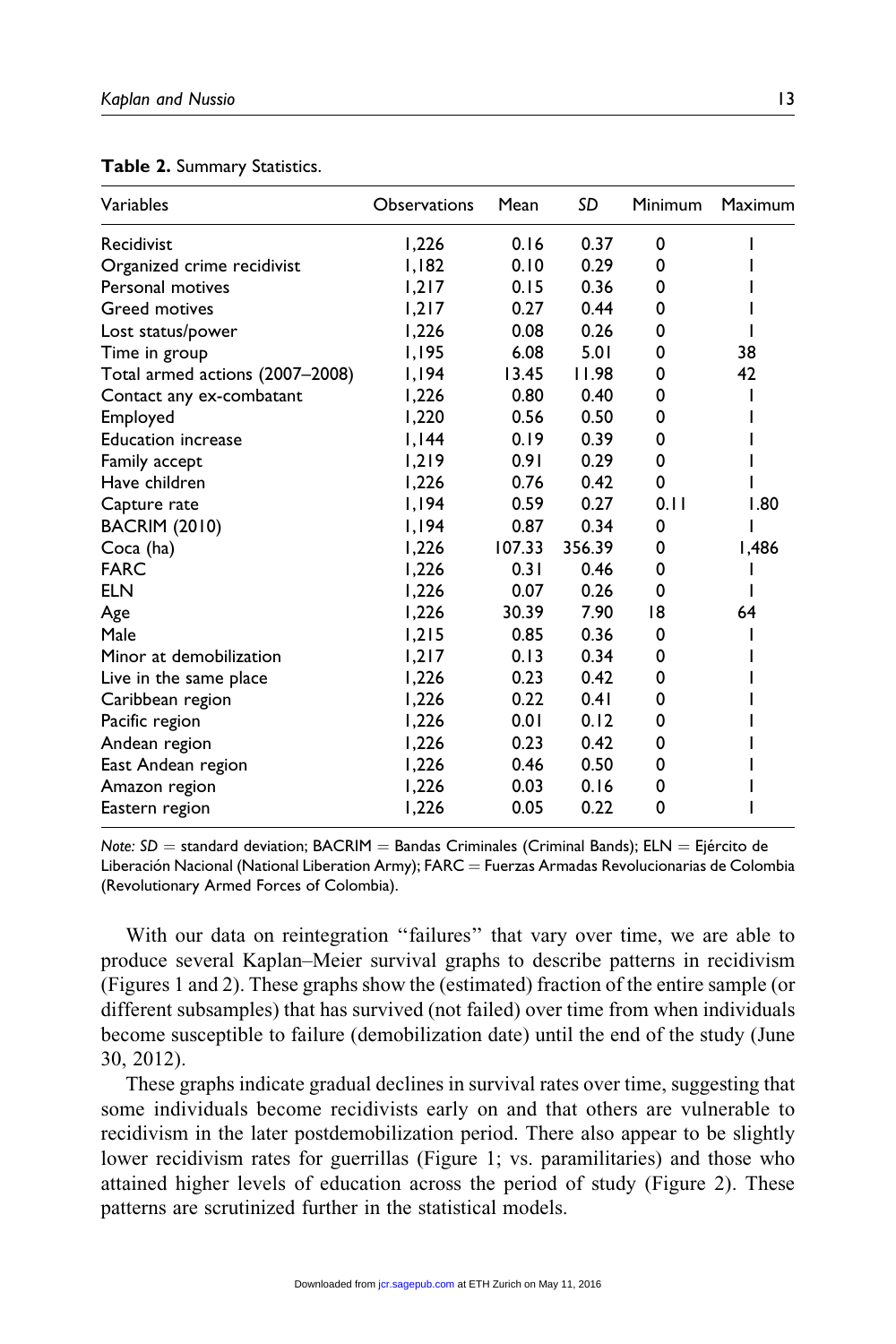#### Table 2. Summary Statistics.

| Variables                       | <b>Observations</b> | Mean   | SD     | Minimum  | Maximum |
|---------------------------------|---------------------|--------|--------|----------|---------|
| Recidivist                      | 1,226               | 0.16   | 0.37   | 0        |         |
| Organized crime recidivist      | I.I82               | 0.10   | 0.29   | 0        |         |
| Personal motives                | 1,217               | 0.15   | 0.36   | 0        |         |
| <b>Greed motives</b>            | 1,217               | 0.27   | 0.44   | 0        |         |
| Lost status/power               | 1,226               | 0.08   | 0.26   | 0        |         |
| Time in group                   | I.I95               | 6.08   | 5.01   | 0        | 38      |
| Total armed actions (2007–2008) | 1.194               | 13.45  | 11.98  | 0        | 42      |
| Contact any ex-combatant        | 1,226               | 0.80   | 0.40   | 0        |         |
| Employed                        | 1,220               | 0.56   | 0.50   | 0        |         |
| <b>Education increase</b>       | I, I44              | 0.19   | 0.39   | 0        |         |
| Family accept                   | 1,219               | 0.91   | 0.29   | 0        |         |
| Have children                   | 1,226               | 0.76   | 0.42   | 0        |         |
| Capture rate                    | 1,194               | 0.59   | 0.27   | 0.11     | 1.80    |
| <b>BACRIM (2010)</b>            | 1.194               | 0.87   | 0.34   | 0        |         |
| Coca (ha)                       | 1,226               | 107.33 | 356.39 | 0        | 1,486   |
| <b>FARC</b>                     | 1,226               | 0.31   | 0.46   | 0        |         |
| <b>ELN</b>                      | 1,226               | 0.07   | 0.26   | $\Omega$ |         |
| Age                             | 1,226               | 30.39  | 7.90   | 18       | 64      |
| Male                            | 1,215               | 0.85   | 0.36   | 0        |         |
| Minor at demobilization         | 1,217               | 0.13   | 0.34   | 0        |         |
| Live in the same place          | 1,226               | 0.23   | 0.42   | 0        |         |
| Caribbean region                | 1,226               | 0.22   | 0.41   | 0        |         |
| Pacific region                  | 1,226               | 0.01   | 0.12   | 0        |         |
| Andean region                   | 1,226               | 0.23   | 0.42   | 0        |         |
| East Andean region              | 1,226               | 0.46   | 0.50   | 0        |         |
| Amazon region                   | 1,226               | 0.03   | 0.16   | 0        |         |
| Eastern region                  | 1,226               | 0.05   | 0.22   | 0        |         |

Note:  $SD =$  standard deviation; BACRIM = Bandas Criminales (Criminal Bands); ELN = Ejército de Liberación Nacional (National Liberation Army); FARC = Fuerzas Armadas Revolucionarias de Colombia (Revolutionary Armed Forces of Colombia).

With our data on reintegration ''failures'' that vary over time, we are able to produce several Kaplan–Meier survival graphs to describe patterns in recidivism (Figures 1 and 2). These graphs show the (estimated) fraction of the entire sample (or different subsamples) that has survived (not failed) over time from when individuals become susceptible to failure (demobilization date) until the end of the study (June 30, 2012).

These graphs indicate gradual declines in survival rates over time, suggesting that some individuals become recidivists early on and that others are vulnerable to recidivism in the later postdemobilization period. There also appear to be slightly lower recidivism rates for guerrillas (Figure 1; vs. paramilitaries) and those who attained higher levels of education across the period of study (Figure 2). These patterns are scrutinized further in the statistical models.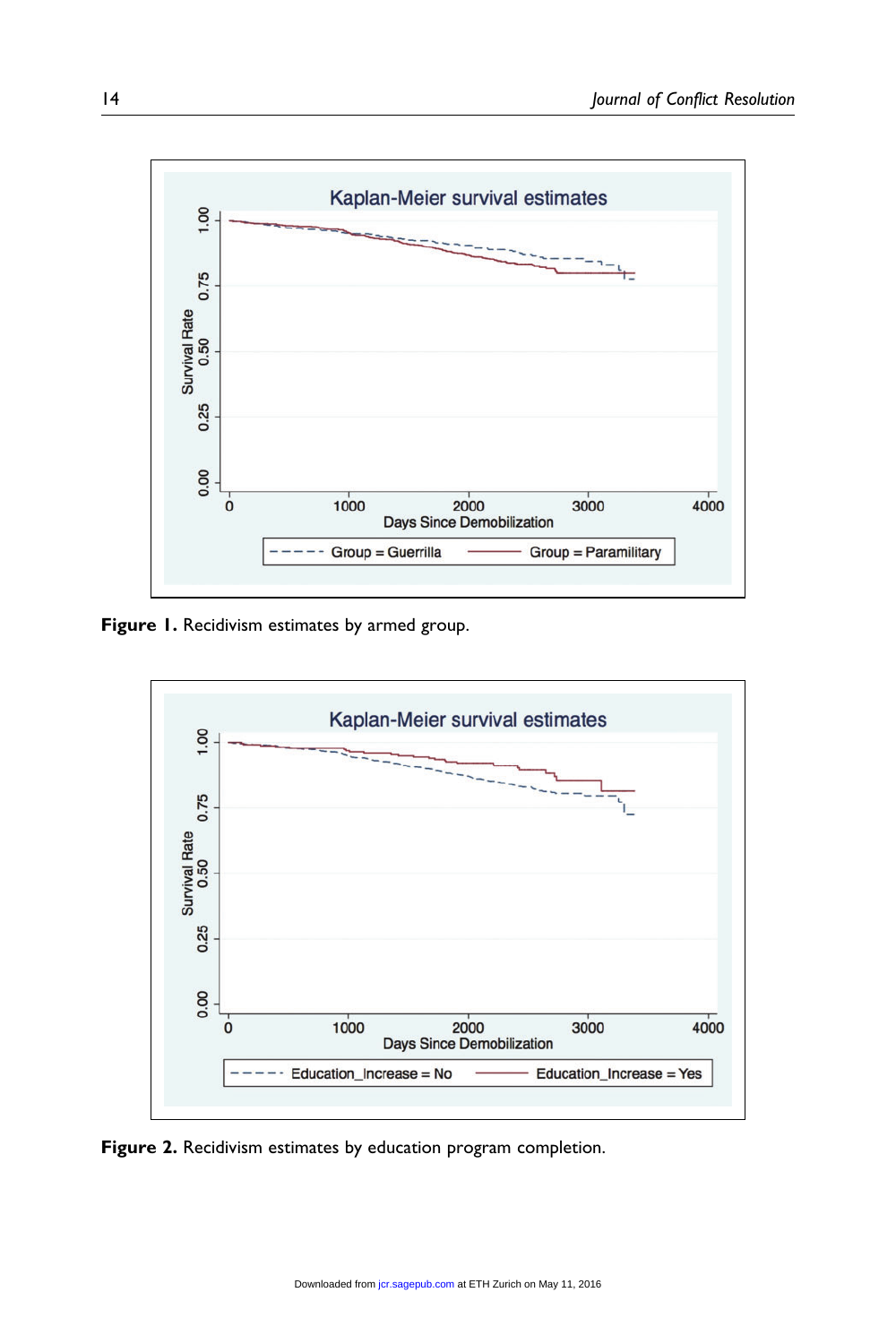

Figure 1. Recidivism estimates by armed group.



Figure 2. Recidivism estimates by education program completion.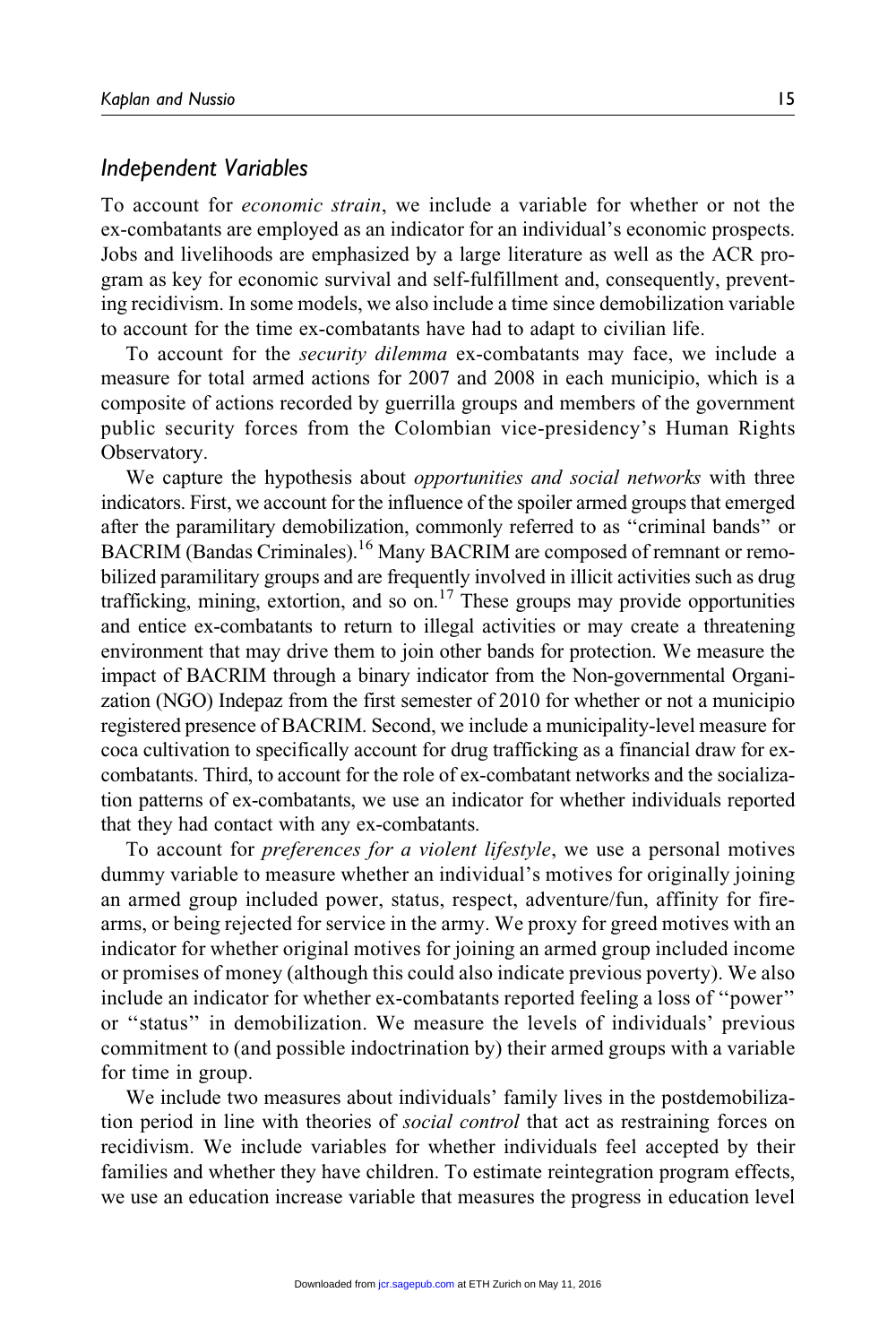#### Independent Variables

To account for economic strain, we include a variable for whether or not the ex-combatants are employed as an indicator for an individual's economic prospects. Jobs and livelihoods are emphasized by a large literature as well as the ACR program as key for economic survival and self-fulfillment and, consequently, preventing recidivism. In some models, we also include a time since demobilization variable to account for the time ex-combatants have had to adapt to civilian life.

To account for the *security dilemma* ex-combatants may face, we include a measure for total armed actions for 2007 and 2008 in each municipio, which is a composite of actions recorded by guerrilla groups and members of the government public security forces from the Colombian vice-presidency's Human Rights Observatory.

We capture the hypothesis about *opportunities and social networks* with three indicators. First, we account for the influence of the spoiler armed groups that emerged after the paramilitary demobilization, commonly referred to as ''criminal bands'' or BACRIM (Bandas Criminales).<sup>16</sup> Many BACRIM are composed of remnant or remobilized paramilitary groups and are frequently involved in illicit activities such as drug trafficking, mining, extortion, and so on.<sup>17</sup> These groups may provide opportunities and entice ex-combatants to return to illegal activities or may create a threatening environment that may drive them to join other bands for protection. We measure the impact of BACRIM through a binary indicator from the Non-governmental Organization (NGO) Indepaz from the first semester of 2010 for whether or not a municipio registered presence of BACRIM. Second, we include a municipality-level measure for coca cultivation to specifically account for drug trafficking as a financial draw for excombatants. Third, to account for the role of ex-combatant networks and the socialization patterns of ex-combatants, we use an indicator for whether individuals reported that they had contact with any ex-combatants.

To account for preferences for a violent lifestyle, we use a personal motives dummy variable to measure whether an individual's motives for originally joining an armed group included power, status, respect, adventure/fun, affinity for firearms, or being rejected for service in the army. We proxy for greed motives with an indicator for whether original motives for joining an armed group included income or promises of money (although this could also indicate previous poverty). We also include an indicator for whether ex-combatants reported feeling a loss of ''power'' or ''status'' in demobilization. We measure the levels of individuals' previous commitment to (and possible indoctrination by) their armed groups with a variable for time in group.

We include two measures about individuals' family lives in the postdemobilization period in line with theories of *social control* that act as restraining forces on recidivism. We include variables for whether individuals feel accepted by their families and whether they have children. To estimate reintegration program effects, we use an education increase variable that measures the progress in education level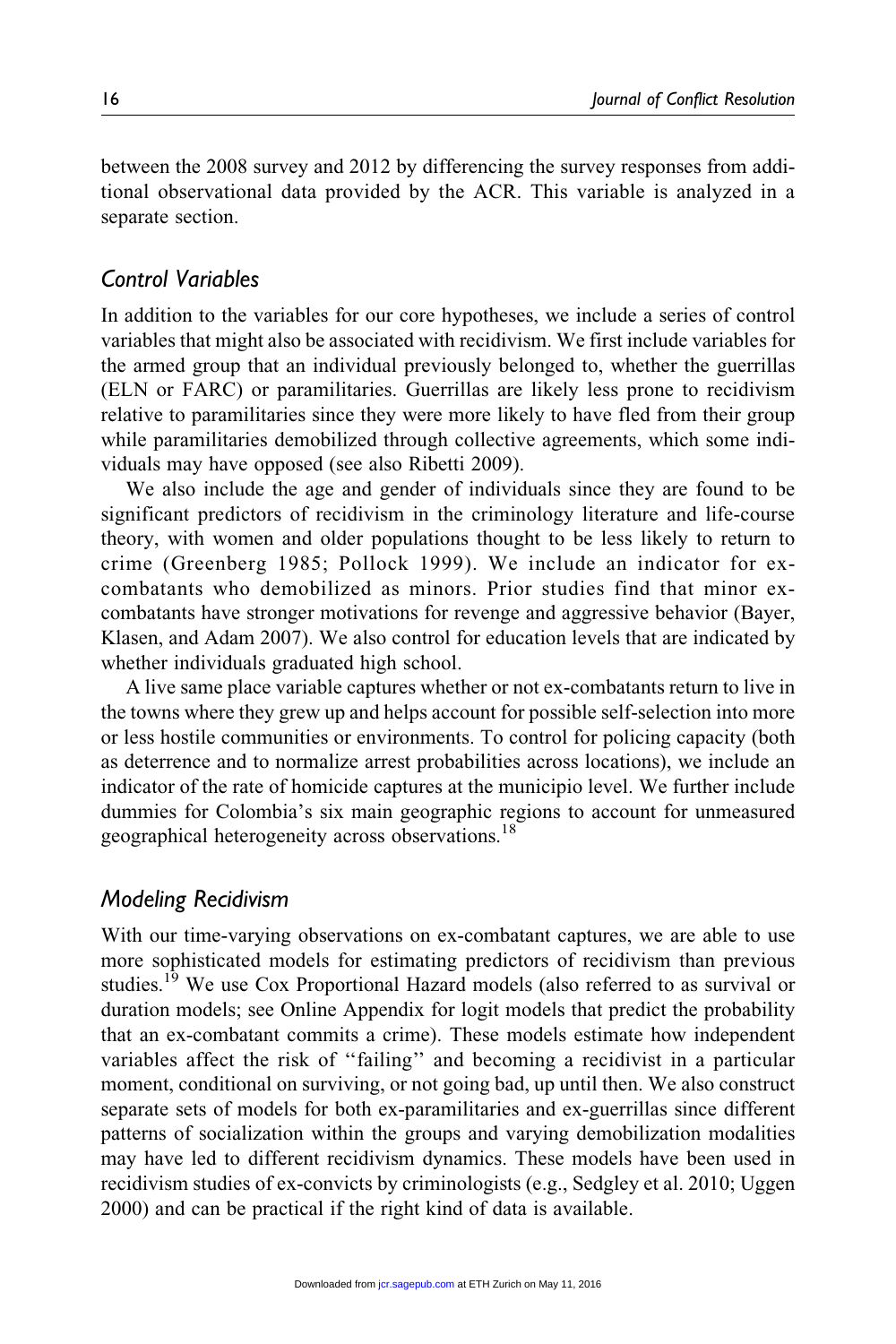between the 2008 survey and 2012 by differencing the survey responses from additional observational data provided by the ACR. This variable is analyzed in a separate section.

## Control Variables

In addition to the variables for our core hypotheses, we include a series of control variables that might also be associated with recidivism. We first include variables for the armed group that an individual previously belonged to, whether the guerrillas (ELN or FARC) or paramilitaries. Guerrillas are likely less prone to recidivism relative to paramilitaries since they were more likely to have fled from their group while paramilitaries demobilized through collective agreements, which some individuals may have opposed (see also Ribetti 2009).

We also include the age and gender of individuals since they are found to be significant predictors of recidivism in the criminology literature and life-course theory, with women and older populations thought to be less likely to return to crime (Greenberg 1985; Pollock 1999). We include an indicator for excombatants who demobilized as minors. Prior studies find that minor excombatants have stronger motivations for revenge and aggressive behavior (Bayer, Klasen, and Adam 2007). We also control for education levels that are indicated by whether individuals graduated high school.

A live same place variable captures whether or not ex-combatants return to live in the towns where they grew up and helps account for possible self-selection into more or less hostile communities or environments. To control for policing capacity (both as deterrence and to normalize arrest probabilities across locations), we include an indicator of the rate of homicide captures at the municipio level. We further include dummies for Colombia's six main geographic regions to account for unmeasured geographical heterogeneity across observations.<sup>18</sup>

#### Modeling Recidivism

With our time-varying observations on ex-combatant captures, we are able to use more sophisticated models for estimating predictors of recidivism than previous studies.<sup>19</sup> We use Cox Proportional Hazard models (also referred to as survival or duration models; see Online Appendix for logit models that predict the probability that an ex-combatant commits a crime). These models estimate how independent variables affect the risk of ''failing'' and becoming a recidivist in a particular moment, conditional on surviving, or not going bad, up until then. We also construct separate sets of models for both ex-paramilitaries and ex-guerrillas since different patterns of socialization within the groups and varying demobilization modalities may have led to different recidivism dynamics. These models have been used in recidivism studies of ex-convicts by criminologists (e.g., Sedgley et al. 2010; Uggen 2000) and can be practical if the right kind of data is available.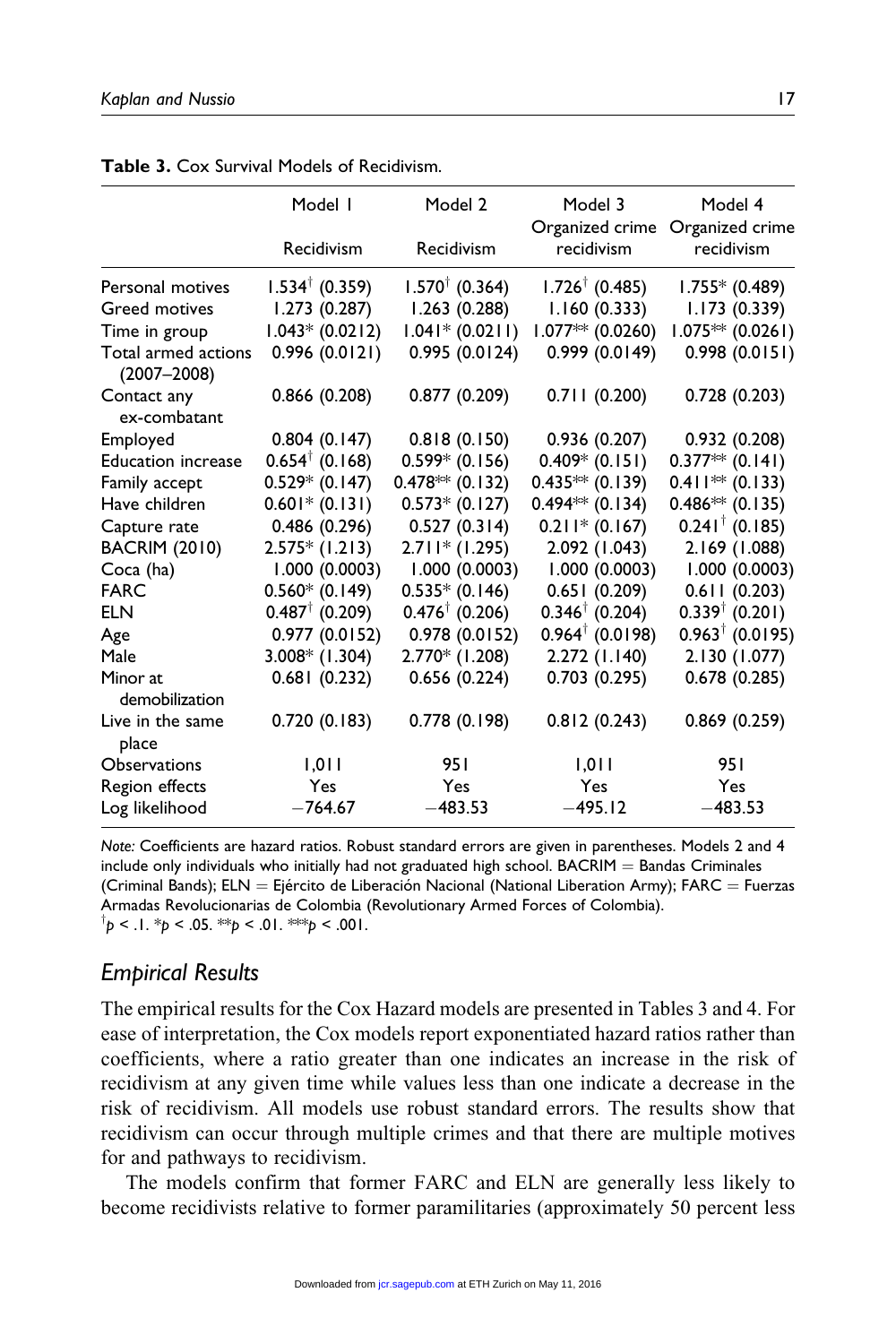|                                        | Model I                   | Model 2                   | Model 3<br>Organized crime | Model 4<br>Organized crime |
|----------------------------------------|---------------------------|---------------------------|----------------------------|----------------------------|
|                                        | Recidivism                | Recidivism                | recidivism                 | recidivism                 |
| Personal motives                       | $1.534^{\dagger}$ (0.359) | $1.570^{\dagger}$ (0.364) | $1.726^{\dagger}$ (0.485)  | $1.755* (0.489)$           |
| <b>Greed motives</b>                   | 1.273(0.287)              | 1.263(0.288)              | 1.160(0.333)               | 1.173(0.339)               |
| Time in group                          | $1.043*$ (0.0212)         | $1.041* (0.0211)$         | $1.077** (0.0260)$         | $1.075**$ (0.0261)         |
| Total armed actions<br>$(2007 - 2008)$ | 0.996(0.0121)             | 0.995(0.0124)             | 0.999(0.0149)              | 0.998(0.0151)              |
| Contact any<br>ex-combatant            | 0.866(0.208)              | 0.877(0.209)              | 0.711(0.200)               | 0.728(0.203)               |
| Employed                               | 0.804(0.147)              | 0.818(0.150)              | 0.936(0.207)               | 0.932(0.208)               |
| <b>Education increase</b>              | $0.654^{\dagger}$ (0.168) | $0.599*$ (0.156)          | $0.409*$ (0.151)           | $0.377**$ (0.141)          |
| Family accept                          | $0.529* (0.147)$          | $0.478**$ (0.132)         | $0.435**$ (0.139)          | $0.411**$ (0.133)          |
| Have children                          | $0.601*$ (0.131)          | $0.573*$ (0.127)          | $0.494**$ (0.134)          | $0.486**$ (0.135)          |
| Capture rate                           | 0.486(0.296)              | 0.527(0.314)              | $0.211* (0.167)$           | $0.241^{\dagger}$ (0.185)  |
| <b>BACRIM (2010)</b>                   | $2.575*$ (1.213)          | $2.711*$ (1.295)          | 2.092 (1.043)              | 2.169 (1.088)              |
| Coca (ha)                              | 1.000(0.0003)             | 1.000(0.0003)             | 1.000(0.0003)              | 1.000(0.0003)              |
| <b>FARC</b>                            | $0.560*$ (0.149)          | $0.535*$ (0.146)          | 0.651(0.209)               | 0.611(0.203)               |
| <b>ELN</b>                             | $0.487^{\dagger}$ (0.209) | $0.476^{\dagger}$ (0.206) | $0.346^{\dagger}$ (0.204)  | $0.339^{\dagger}$ (0.201)  |
| Age                                    | 0.977(0.0152)             | 0.978 (0.0152)            | $0.964^{\dagger}$ (0.0198) | $0.963^{\dagger}$ (0.0195) |
| Male                                   | $3.008*$ (1.304)          | $2.770*$ (1.208)          | 2.272(1.140)               | 2.130 (1.077)              |
| Minor at<br>demobilization             | 0.681(0.232)              | 0.656(0.224)              | 0.703(0.295)               | 0.678(0.285)               |
| Live in the same<br>place              | 0.720(0.183)              | 0.778(0.198)              | 0.812(0.243)               | 0.869(0.259)               |
| Observations                           | 1,011                     | 951                       | 1,011                      | 95 I                       |
| Region effects                         | <b>Yes</b>                | Yes                       | <b>Yes</b>                 | Yes                        |
| Log likelihood                         | $-764.67$                 | $-483.53$                 | $-495.12$                  | $-483.53$                  |

| <b>Table 3.</b> Cox Survival Models of Recidivism. |  |
|----------------------------------------------------|--|
|----------------------------------------------------|--|

Note: Coefficients are hazard ratios. Robust standard errors are given in parentheses. Models 2 and 4 include only individuals who initially had not graduated high school. BACRIM  $=$  Bandas Criminales (Criminal Bands); ELN = Ejército de Liberación Nacional (National Liberation Army); FARC = Fuerzas Armadas Revolucionarias de Colombia (Revolutionary Armed Forces of Colombia).  $\phi$  < .1. \*p < .05. \*\*p < .01. \*\*\*p < .001.

#### Empirical Results

The empirical results for the Cox Hazard models are presented in Tables 3 and 4. For ease of interpretation, the Cox models report exponentiated hazard ratios rather than coefficients, where a ratio greater than one indicates an increase in the risk of recidivism at any given time while values less than one indicate a decrease in the risk of recidivism. All models use robust standard errors. The results show that recidivism can occur through multiple crimes and that there are multiple motives for and pathways to recidivism.

The models confirm that former FARC and ELN are generally less likely to become recidivists relative to former paramilitaries (approximately 50 percent less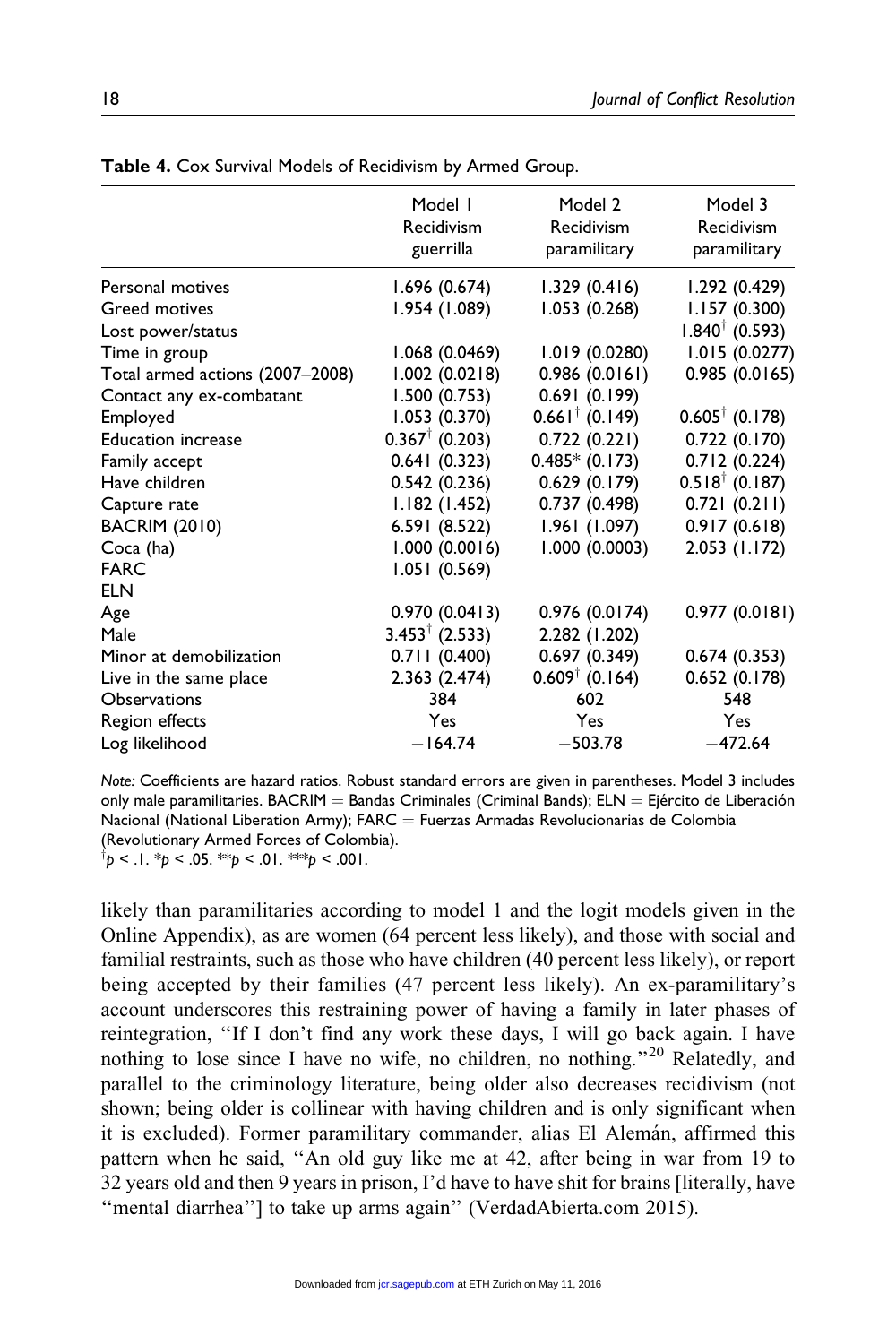|                                 | Model I<br>Recidivism<br>guerrilla | Model 2<br>Recidivism<br>paramilitary | Model 3<br>Recidivism<br>paramilitary |
|---------------------------------|------------------------------------|---------------------------------------|---------------------------------------|
| Personal motives                | 1.696(0.674)                       | 1.329(0.416)                          | 1.292(0.429)                          |
| <b>Greed motives</b>            | 1.954 (1.089)                      | 1.053(0.268)                          | 1.157(0.300)                          |
| Lost power/status               |                                    |                                       | $1.840^{\dagger}$ (0.593)             |
| Time in group                   | 1.068(0.0469)                      | 1.019(0.0280)                         | 1.015 (0.0277)                        |
| Total armed actions (2007-2008) | 1.002(0.0218)                      | 0.986(0.0161)                         | 0.985(0.0165)                         |
| Contact any ex-combatant        | 1.500(0.753)                       | 0.691(0.199)                          |                                       |
| Employed                        | 1.053(0.370)                       | $0.661^{\dagger}$ (0.149)             | $0.605^{\dagger}$ (0.178)             |
| <b>Education increase</b>       | $0.367^{\dagger}$ (0.203)          | 0.722(0.221)                          | 0.722(0.170)                          |
| Family accept                   | 0.641(0.323)                       | $0.485* (0.173)$                      | 0.712(0.224)                          |
| Have children                   | 0.542(0.236)                       | 0.629(0.179)                          | $0.518^{\dagger}$ (0.187)             |
| Capture rate                    | 1.182(1.452)                       | 0.737(0.498)                          | 0.721(0.211)                          |
| <b>BACRIM (2010)</b>            | 6.591(8.522)                       | 1.961(1.097)                          | 0.917(0.618)                          |
| Coca (ha)                       | 1.000(0.0016)                      | 1.000(0.0003)                         | $2.053$ (1.172)                       |
| <b>FARC</b>                     | 1.051(0.569)                       |                                       |                                       |
| <b>ELN</b>                      |                                    |                                       |                                       |
| Age                             | 0.970(0.0413)                      | 0.976(0.0174)                         | 0.977(0.0181)                         |
| Male                            | $3.453^{\dagger}$ (2.533)          | 2.282 (1.202)                         |                                       |
| Minor at demobilization         | 0.711(0.400)                       | 0.697(0.349)                          | 0.674(0.353)                          |
| Live in the same place          | 2.363(2.474)                       | $0.609^{\dagger}$ (0.164)             | 0.652(0.178)                          |
| <b>Observations</b>             | 384                                | 602                                   | 548                                   |
| Region effects                  | Yes                                | Yes                                   | Yes                                   |
| Log likelihood                  | $-164.74$                          | $-503.78$                             | $-472.64$                             |
|                                 |                                    |                                       |                                       |

Table 4. Cox Survival Models of Recidivism by Armed Group.

Note: Coefficients are hazard ratios. Robust standard errors are given in parentheses. Model 3 includes only male paramilitaries. BACRIM = Bandas Criminales (Criminal Bands); ELN = Ejército de Liberación Nacional (National Liberation Army);  $FARC = Fuerzas Armadas Revolucionarias de Colombia$ (Revolutionary Armed Forces of Colombia).  $\phi$  < .1. \*p < .05. \*\*p < .01. \*\*\*p < .001.

likely than paramilitaries according to model 1 and the logit models given in the Online Appendix), as are women (64 percent less likely), and those with social and familial restraints, such as those who have children (40 percent less likely), or report being accepted by their families (47 percent less likely). An ex-paramilitary's account underscores this restraining power of having a family in later phases of reintegration, ''If I don't find any work these days, I will go back again. I have nothing to lose since I have no wife, no children, no nothing.''20 Relatedly, and parallel to the criminology literature, being older also decreases recidivism (not shown; being older is collinear with having children and is only significant when it is excluded). Former paramilitary commander, alias El Alemán, affirmed this pattern when he said, ''An old guy like me at 42, after being in war from 19 to 32 years old and then 9 years in prison, I'd have to have shit for brains [literally, have "mental diarrhea"] to take up arms again" (VerdadAbierta.com 2015).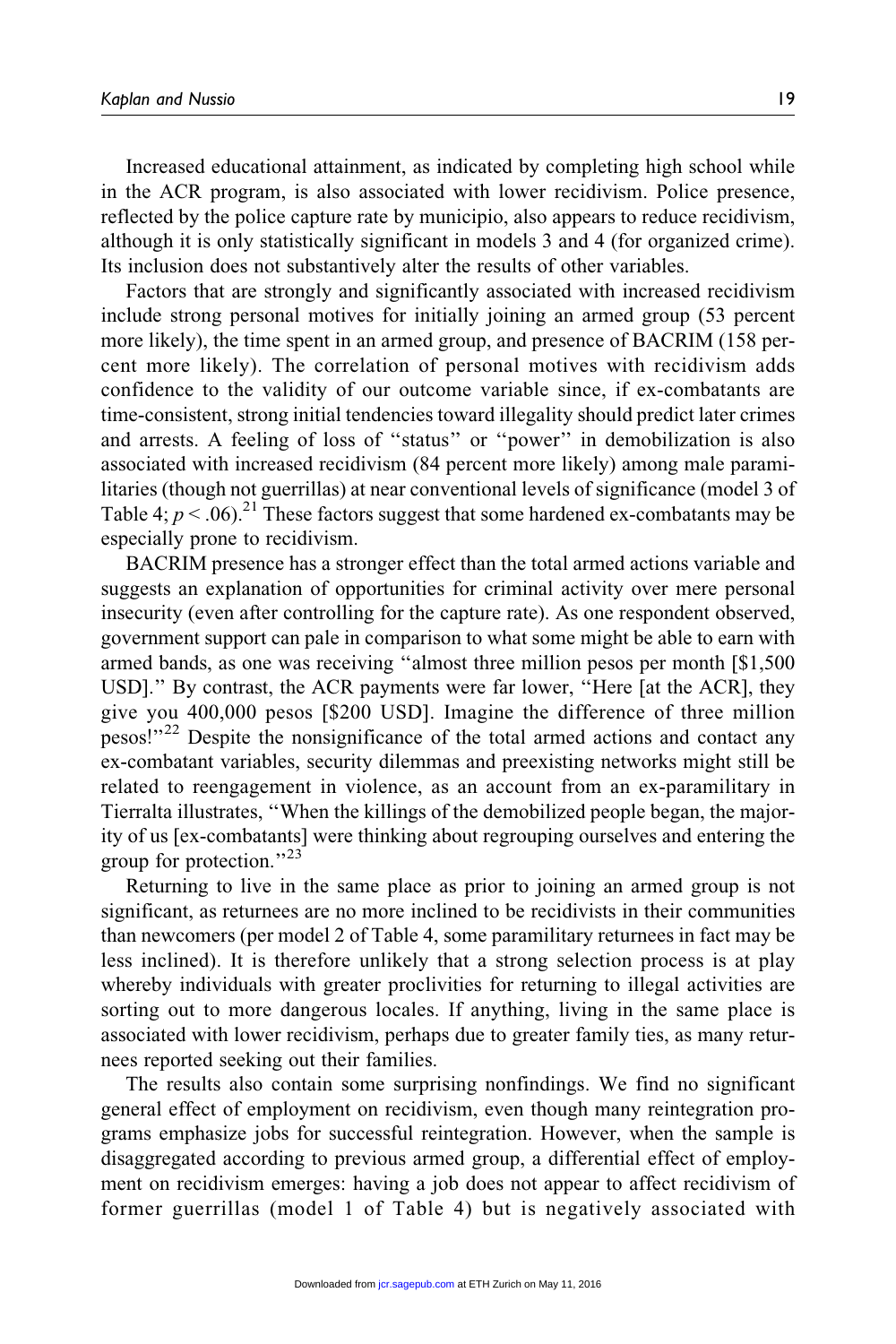Increased educational attainment, as indicated by completing high school while in the ACR program, is also associated with lower recidivism. Police presence, reflected by the police capture rate by municipio, also appears to reduce recidivism, although it is only statistically significant in models 3 and 4 (for organized crime). Its inclusion does not substantively alter the results of other variables.

Factors that are strongly and significantly associated with increased recidivism include strong personal motives for initially joining an armed group (53 percent more likely), the time spent in an armed group, and presence of BACRIM (158 percent more likely). The correlation of personal motives with recidivism adds confidence to the validity of our outcome variable since, if ex-combatants are time-consistent, strong initial tendencies toward illegality should predict later crimes and arrests. A feeling of loss of ''status'' or ''power'' in demobilization is also associated with increased recidivism (84 percent more likely) among male paramilitaries (though not guerrillas) at near conventional levels of significance (model 3 of Table 4;  $p < .06$ ).<sup>21</sup> These factors suggest that some hardened ex-combatants may be especially prone to recidivism.

BACRIM presence has a stronger effect than the total armed actions variable and suggests an explanation of opportunities for criminal activity over mere personal insecurity (even after controlling for the capture rate). As one respondent observed, government support can pale in comparison to what some might be able to earn with armed bands, as one was receiving ''almost three million pesos per month [\$1,500 USD].'' By contrast, the ACR payments were far lower, ''Here [at the ACR], they give you 400,000 pesos [\$200 USD]. Imagine the difference of three million pesos!''<sup>22</sup> Despite the nonsignificance of the total armed actions and contact any ex-combatant variables, security dilemmas and preexisting networks might still be related to reengagement in violence, as an account from an ex-paramilitary in Tierralta illustrates, ''When the killings of the demobilized people began, the majority of us [ex-combatants] were thinking about regrouping ourselves and entering the group for protection."<sup>23</sup>

Returning to live in the same place as prior to joining an armed group is not significant, as returnees are no more inclined to be recidivists in their communities than newcomers (per model 2 of Table 4, some paramilitary returnees in fact may be less inclined). It is therefore unlikely that a strong selection process is at play whereby individuals with greater proclivities for returning to illegal activities are sorting out to more dangerous locales. If anything, living in the same place is associated with lower recidivism, perhaps due to greater family ties, as many returnees reported seeking out their families.

The results also contain some surprising nonfindings. We find no significant general effect of employment on recidivism, even though many reintegration programs emphasize jobs for successful reintegration. However, when the sample is disaggregated according to previous armed group, a differential effect of employment on recidivism emerges: having a job does not appear to affect recidivism of former guerrillas (model 1 of Table 4) but is negatively associated with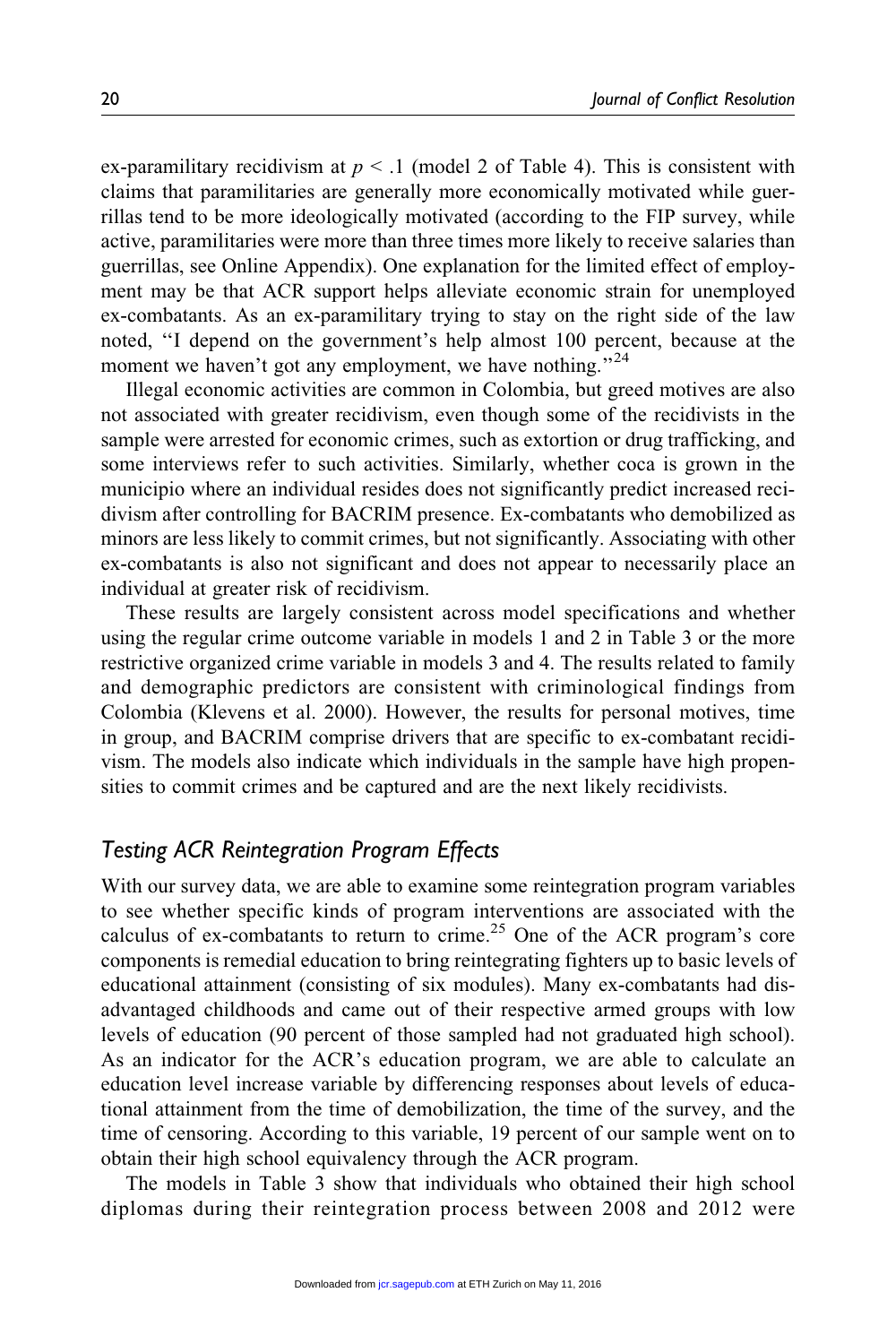ex-paramilitary recidivism at  $p \le 0.1$  (model 2 of Table 4). This is consistent with claims that paramilitaries are generally more economically motivated while guerrillas tend to be more ideologically motivated (according to the FIP survey, while active, paramilitaries were more than three times more likely to receive salaries than guerrillas, see Online Appendix). One explanation for the limited effect of employment may be that ACR support helps alleviate economic strain for unemployed ex-combatants. As an ex-paramilitary trying to stay on the right side of the law noted, ''I depend on the government's help almost 100 percent, because at the moment we haven't got any employment, we have nothing."<sup>24</sup>

Illegal economic activities are common in Colombia, but greed motives are also not associated with greater recidivism, even though some of the recidivists in the sample were arrested for economic crimes, such as extortion or drug trafficking, and some interviews refer to such activities. Similarly, whether coca is grown in the municipio where an individual resides does not significantly predict increased recidivism after controlling for BACRIM presence. Ex-combatants who demobilized as minors are less likely to commit crimes, but not significantly. Associating with other ex-combatants is also not significant and does not appear to necessarily place an individual at greater risk of recidivism.

These results are largely consistent across model specifications and whether using the regular crime outcome variable in models 1 and 2 in Table 3 or the more restrictive organized crime variable in models 3 and 4. The results related to family and demographic predictors are consistent with criminological findings from Colombia (Klevens et al. 2000). However, the results for personal motives, time in group, and BACRIM comprise drivers that are specific to ex-combatant recidivism. The models also indicate which individuals in the sample have high propensities to commit crimes and be captured and are the next likely recidivists.

## Testing ACR Reintegration Program Effects

With our survey data, we are able to examine some reintegration program variables to see whether specific kinds of program interventions are associated with the calculus of ex-combatants to return to crime.<sup>25</sup> One of the ACR program's core components is remedial education to bring reintegrating fighters up to basic levels of educational attainment (consisting of six modules). Many ex-combatants had disadvantaged childhoods and came out of their respective armed groups with low levels of education (90 percent of those sampled had not graduated high school). As an indicator for the ACR's education program, we are able to calculate an education level increase variable by differencing responses about levels of educational attainment from the time of demobilization, the time of the survey, and the time of censoring. According to this variable, 19 percent of our sample went on to obtain their high school equivalency through the ACR program.

The models in Table 3 show that individuals who obtained their high school diplomas during their reintegration process between 2008 and 2012 were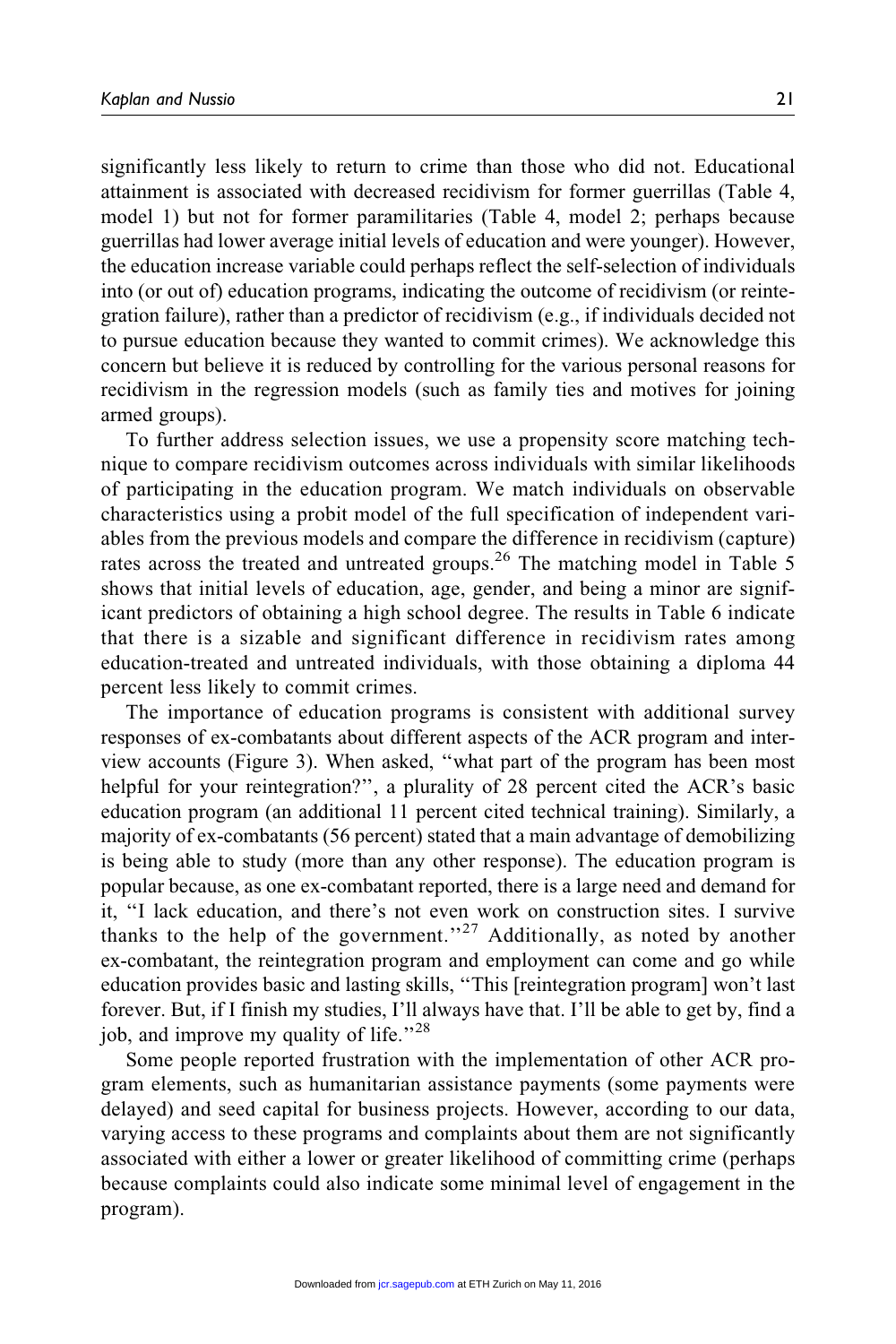significantly less likely to return to crime than those who did not. Educational attainment is associated with decreased recidivism for former guerrillas (Table 4, model 1) but not for former paramilitaries (Table 4, model 2; perhaps because guerrillas had lower average initial levels of education and were younger). However, the education increase variable could perhaps reflect the self-selection of individuals into (or out of) education programs, indicating the outcome of recidivism (or reintegration failure), rather than a predictor of recidivism (e.g., if individuals decided not to pursue education because they wanted to commit crimes). We acknowledge this concern but believe it is reduced by controlling for the various personal reasons for recidivism in the regression models (such as family ties and motives for joining armed groups).

To further address selection issues, we use a propensity score matching technique to compare recidivism outcomes across individuals with similar likelihoods of participating in the education program. We match individuals on observable characteristics using a probit model of the full specification of independent variables from the previous models and compare the difference in recidivism (capture) rates across the treated and untreated groups.<sup>26</sup> The matching model in Table 5 shows that initial levels of education, age, gender, and being a minor are significant predictors of obtaining a high school degree. The results in Table 6 indicate that there is a sizable and significant difference in recidivism rates among education-treated and untreated individuals, with those obtaining a diploma 44 percent less likely to commit crimes.

The importance of education programs is consistent with additional survey responses of ex-combatants about different aspects of the ACR program and interview accounts (Figure 3). When asked, ''what part of the program has been most helpful for your reintegration?", a plurality of 28 percent cited the ACR's basic education program (an additional 11 percent cited technical training). Similarly, a majority of ex-combatants (56 percent) stated that a main advantage of demobilizing is being able to study (more than any other response). The education program is popular because, as one ex-combatant reported, there is a large need and demand for it, ''I lack education, and there's not even work on construction sites. I survive thanks to the help of the government."<sup>27</sup> Additionally, as noted by another ex-combatant, the reintegration program and employment can come and go while education provides basic and lasting skills, ''This [reintegration program] won't last forever. But, if I finish my studies, I'll always have that. I'll be able to get by, find a job, and improve my quality of life."<sup>28</sup>

Some people reported frustration with the implementation of other ACR program elements, such as humanitarian assistance payments (some payments were delayed) and seed capital for business projects. However, according to our data, varying access to these programs and complaints about them are not significantly associated with either a lower or greater likelihood of committing crime (perhaps because complaints could also indicate some minimal level of engagement in the program).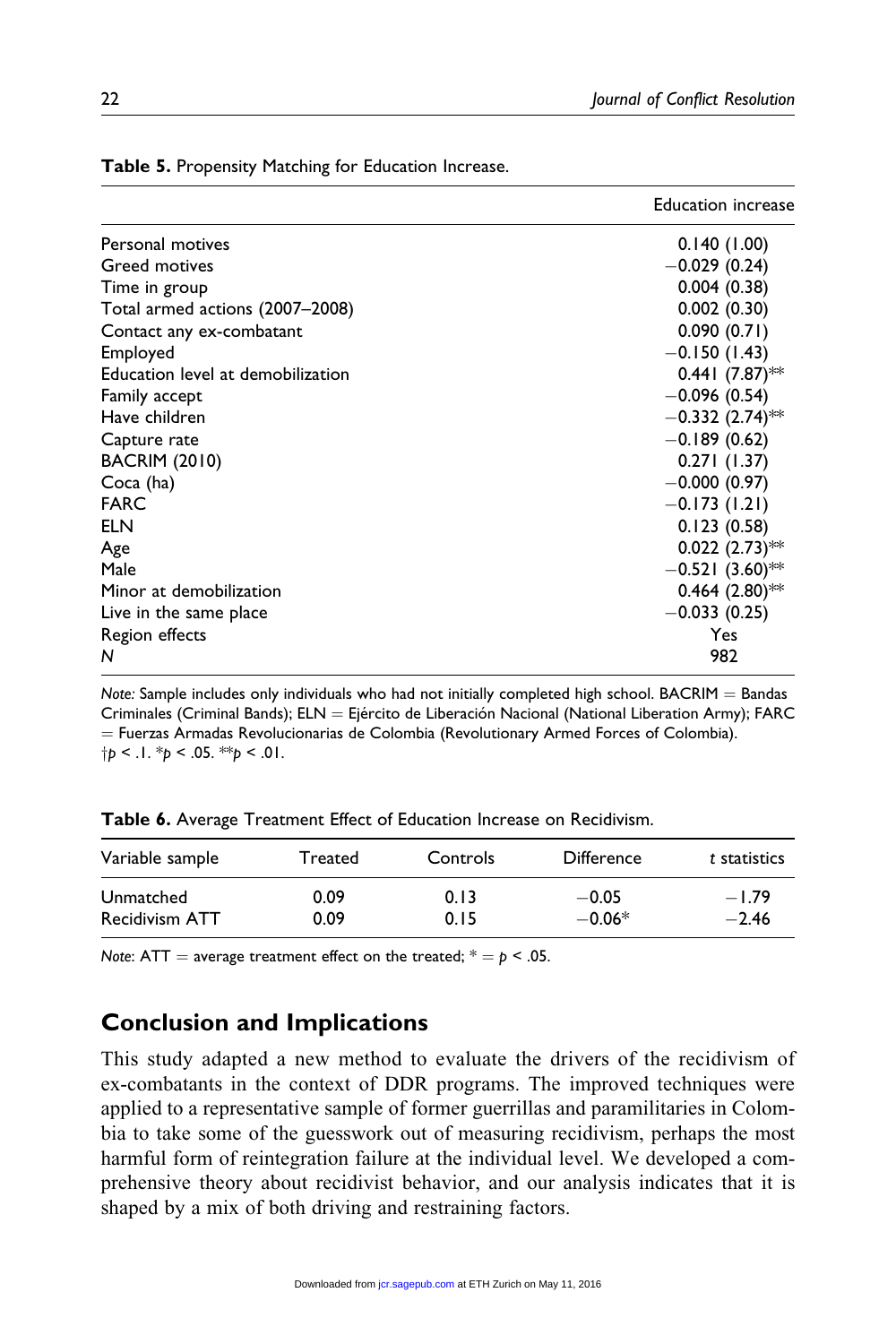|                                   | <b>Education increase</b>    |
|-----------------------------------|------------------------------|
| Personal motives                  | 0.140(1.00)                  |
| <b>Greed motives</b>              | $-0.029(0.24)$               |
| Time in group                     | 0.004(0.38)                  |
| Total armed actions (2007–2008)   | 0.002(0.30)                  |
| Contact any ex-combatant          | 0.090(0.71)                  |
| Employed                          | $-0.150(1.43)$               |
| Education level at demobilization | $0.441(7.87)$ **             |
| Family accept                     | $-0.096(0.54)$               |
| Have children                     | $-0.332(2.74)$ **            |
| Capture rate                      | $-0.189(0.62)$               |
| <b>BACRIM (2010)</b>              | 0.271(1.37)                  |
| Coca (ha)                         | $-0.000(0.97)$               |
| <b>FARC</b>                       | $-0.173(1.21)$               |
| <b>FLN</b>                        | 0.123(0.58)                  |
| Age                               | $0.022$ $(2.73)$ **          |
| Male                              | $-0.521(3.60)$ **            |
| Minor at demobilization           | $0.464$ (2.80) <sup>**</sup> |
| Live in the same place            | $-0.033(0.25)$               |
| Region effects                    | Yes                          |
| N                                 | 982                          |

|  |  | Table 5. Propensity Matching for Education Increase. |  |  |  |
|--|--|------------------------------------------------------|--|--|--|
|--|--|------------------------------------------------------|--|--|--|

Note: Sample includes only individuals who had not initially completed high school. BACRIM  $=$  Bandas Criminales (Criminal Bands); ELN = Ejército de Liberación Nacional (National Liberation Army); FARC  $=$  Fuerzas Armadas Revolucionarias de Colombia (Revolutionary Armed Forces of Colombia).  $\uparrow p$  < .1. \* $p$  < .05. \*\* $p$  < .01.

| Variable sample       | Treated | Controls | <b>Difference</b> | t statistics |
|-----------------------|---------|----------|-------------------|--------------|
| Unmatched             | 0.09    | 0.13     | $-0.05$           | $-1.79$      |
| <b>Recidivism ATT</b> | 0.09    | 0.15     | $-0.06*$          | $-2.46$      |

Table 6. Average Treatment Effect of Education Increase on Recidivism.

Note: ATT = average treatment effect on the treated;  $* = p < .05$ .

# Conclusion and Implications

This study adapted a new method to evaluate the drivers of the recidivism of ex-combatants in the context of DDR programs. The improved techniques were applied to a representative sample of former guerrillas and paramilitaries in Colombia to take some of the guesswork out of measuring recidivism, perhaps the most harmful form of reintegration failure at the individual level. We developed a comprehensive theory about recidivist behavior, and our analysis indicates that it is shaped by a mix of both driving and restraining factors.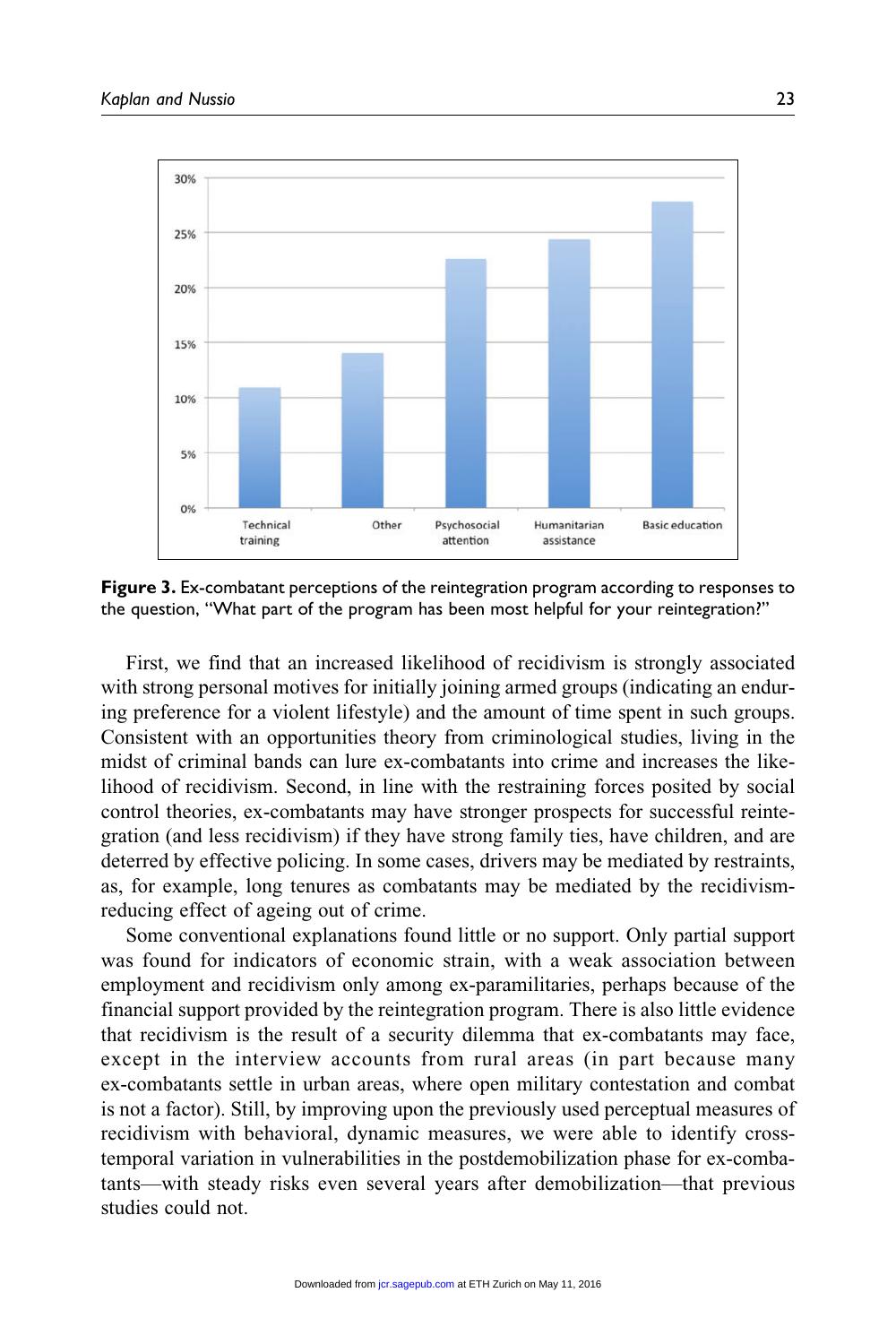

Figure 3. Ex-combatant perceptions of the reintegration program according to responses to the question, ''What part of the program has been most helpful for your reintegration?''

First, we find that an increased likelihood of recidivism is strongly associated with strong personal motives for initially joining armed groups (indicating an enduring preference for a violent lifestyle) and the amount of time spent in such groups. Consistent with an opportunities theory from criminological studies, living in the midst of criminal bands can lure ex-combatants into crime and increases the likelihood of recidivism. Second, in line with the restraining forces posited by social control theories, ex-combatants may have stronger prospects for successful reintegration (and less recidivism) if they have strong family ties, have children, and are deterred by effective policing. In some cases, drivers may be mediated by restraints, as, for example, long tenures as combatants may be mediated by the recidivismreducing effect of ageing out of crime.

Some conventional explanations found little or no support. Only partial support was found for indicators of economic strain, with a weak association between employment and recidivism only among ex-paramilitaries, perhaps because of the financial support provided by the reintegration program. There is also little evidence that recidivism is the result of a security dilemma that ex-combatants may face, except in the interview accounts from rural areas (in part because many ex-combatants settle in urban areas, where open military contestation and combat is not a factor). Still, by improving upon the previously used perceptual measures of recidivism with behavioral, dynamic measures, we were able to identify crosstemporal variation in vulnerabilities in the postdemobilization phase for ex-combatants—with steady risks even several years after demobilization—that previous studies could not.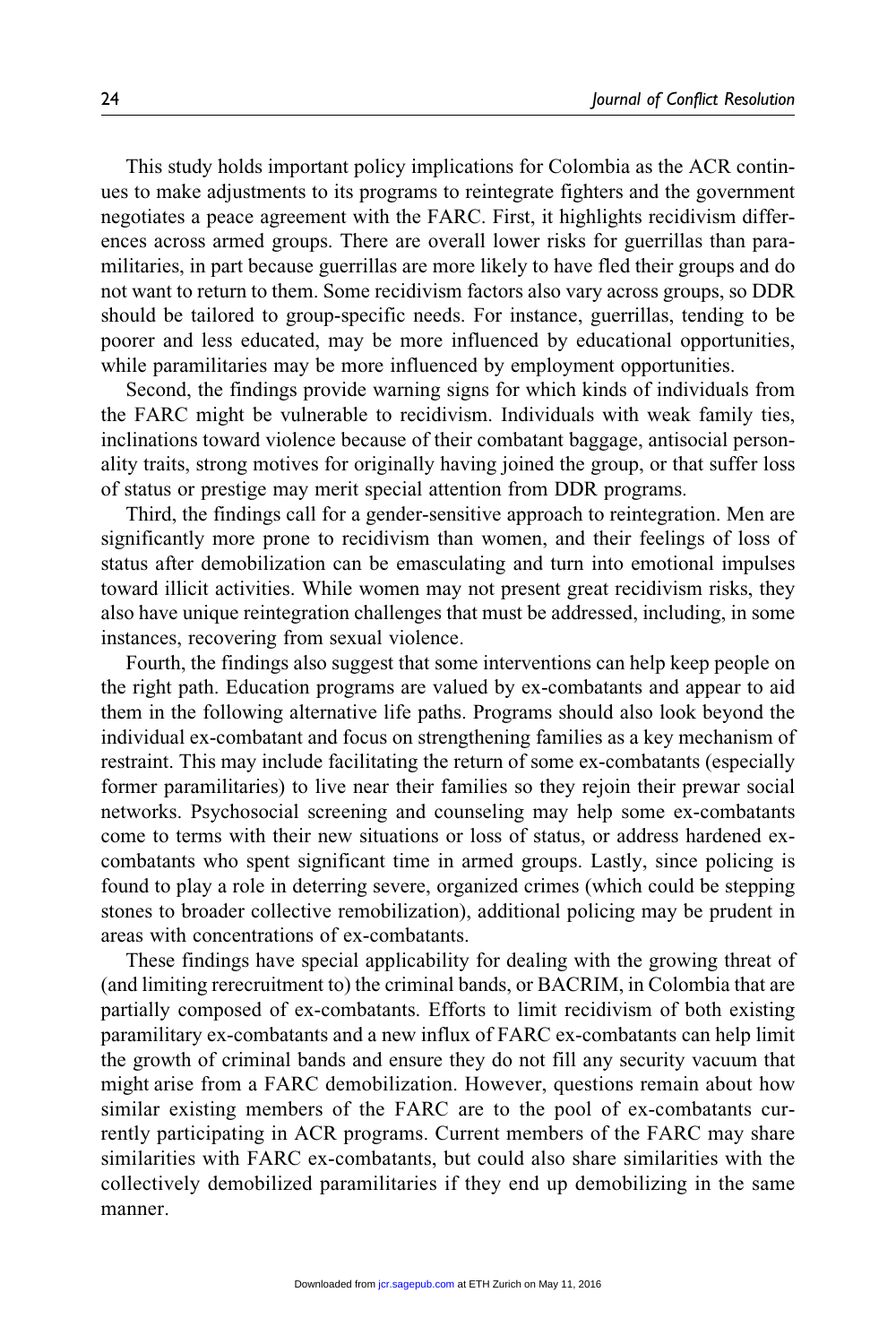This study holds important policy implications for Colombia as the ACR continues to make adjustments to its programs to reintegrate fighters and the government negotiates a peace agreement with the FARC. First, it highlights recidivism differences across armed groups. There are overall lower risks for guerrillas than paramilitaries, in part because guerrillas are more likely to have fled their groups and do not want to return to them. Some recidivism factors also vary across groups, so DDR should be tailored to group-specific needs. For instance, guerrillas, tending to be poorer and less educated, may be more influenced by educational opportunities, while paramilitaries may be more influenced by employment opportunities.

Second, the findings provide warning signs for which kinds of individuals from the FARC might be vulnerable to recidivism. Individuals with weak family ties, inclinations toward violence because of their combatant baggage, antisocial personality traits, strong motives for originally having joined the group, or that suffer loss of status or prestige may merit special attention from DDR programs.

Third, the findings call for a gender-sensitive approach to reintegration. Men are significantly more prone to recidivism than women, and their feelings of loss of status after demobilization can be emasculating and turn into emotional impulses toward illicit activities. While women may not present great recidivism risks, they also have unique reintegration challenges that must be addressed, including, in some instances, recovering from sexual violence.

Fourth, the findings also suggest that some interventions can help keep people on the right path. Education programs are valued by ex-combatants and appear to aid them in the following alternative life paths. Programs should also look beyond the individual ex-combatant and focus on strengthening families as a key mechanism of restraint. This may include facilitating the return of some ex-combatants (especially former paramilitaries) to live near their families so they rejoin their prewar social networks. Psychosocial screening and counseling may help some ex-combatants come to terms with their new situations or loss of status, or address hardened excombatants who spent significant time in armed groups. Lastly, since policing is found to play a role in deterring severe, organized crimes (which could be stepping stones to broader collective remobilization), additional policing may be prudent in areas with concentrations of ex-combatants.

These findings have special applicability for dealing with the growing threat of (and limiting rerecruitment to) the criminal bands, or BACRIM, in Colombia that are partially composed of ex-combatants. Efforts to limit recidivism of both existing paramilitary ex-combatants and a new influx of FARC ex-combatants can help limit the growth of criminal bands and ensure they do not fill any security vacuum that might arise from a FARC demobilization. However, questions remain about how similar existing members of the FARC are to the pool of ex-combatants currently participating in ACR programs. Current members of the FARC may share similarities with FARC ex-combatants, but could also share similarities with the collectively demobilized paramilitaries if they end up demobilizing in the same manner.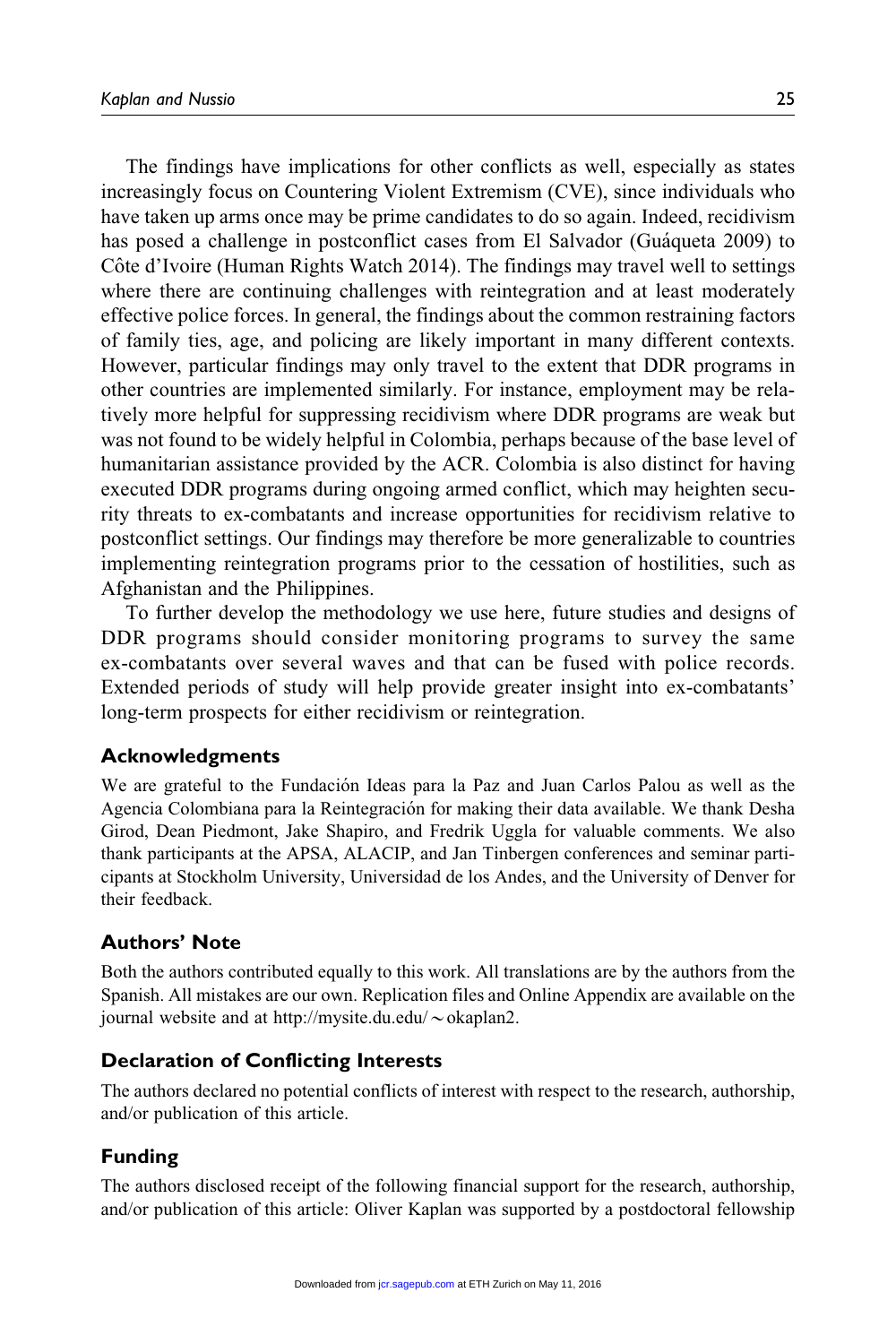The findings have implications for other conflicts as well, especially as states increasingly focus on Countering Violent Extremism (CVE), since individuals who have taken up arms once may be prime candidates to do so again. Indeed, recidivism has posed a challenge in postconflict cases from El Salvador (Guáqueta 2009) to Côte d'Ivoire (Human Rights Watch 2014). The findings may travel well to settings where there are continuing challenges with reintegration and at least moderately effective police forces. In general, the findings about the common restraining factors of family ties, age, and policing are likely important in many different contexts. However, particular findings may only travel to the extent that DDR programs in other countries are implemented similarly. For instance, employment may be relatively more helpful for suppressing recidivism where DDR programs are weak but was not found to be widely helpful in Colombia, perhaps because of the base level of humanitarian assistance provided by the ACR. Colombia is also distinct for having executed DDR programs during ongoing armed conflict, which may heighten security threats to ex-combatants and increase opportunities for recidivism relative to postconflict settings. Our findings may therefore be more generalizable to countries implementing reintegration programs prior to the cessation of hostilities, such as Afghanistan and the Philippines.

To further develop the methodology we use here, future studies and designs of DDR programs should consider monitoring programs to survey the same ex-combatants over several waves and that can be fused with police records. Extended periods of study will help provide greater insight into ex-combatants' long-term prospects for either recidivism or reintegration.

#### Acknowledgments

We are grateful to the Fundación Ideas para la Paz and Juan Carlos Palou as well as the Agencia Colombiana para la Reintegración for making their data available. We thank Desha Girod, Dean Piedmont, Jake Shapiro, and Fredrik Uggla for valuable comments. We also thank participants at the APSA, ALACIP, and Jan Tinbergen conferences and seminar participants at Stockholm University, Universidad de los Andes, and the University of Denver for their feedback.

#### Authors' Note

Both the authors contributed equally to this work. All translations are by the authors from the Spanish. All mistakes are our own. Replication files and Online Appendix are available on the journal website and at [http://mysite.du.edu/](http://mysite.du.edu/~okaplan2) $\sim$ [okaplan2](http://mysite.du.edu/~okaplan2).

#### Declaration of Conflicting Interests

The authors declared no potential conflicts of interest with respect to the research, authorship, and/or publication of this article.

#### Funding

The authors disclosed receipt of the following financial support for the research, authorship, and/or publication of this article: Oliver Kaplan was supported by a postdoctoral fellowship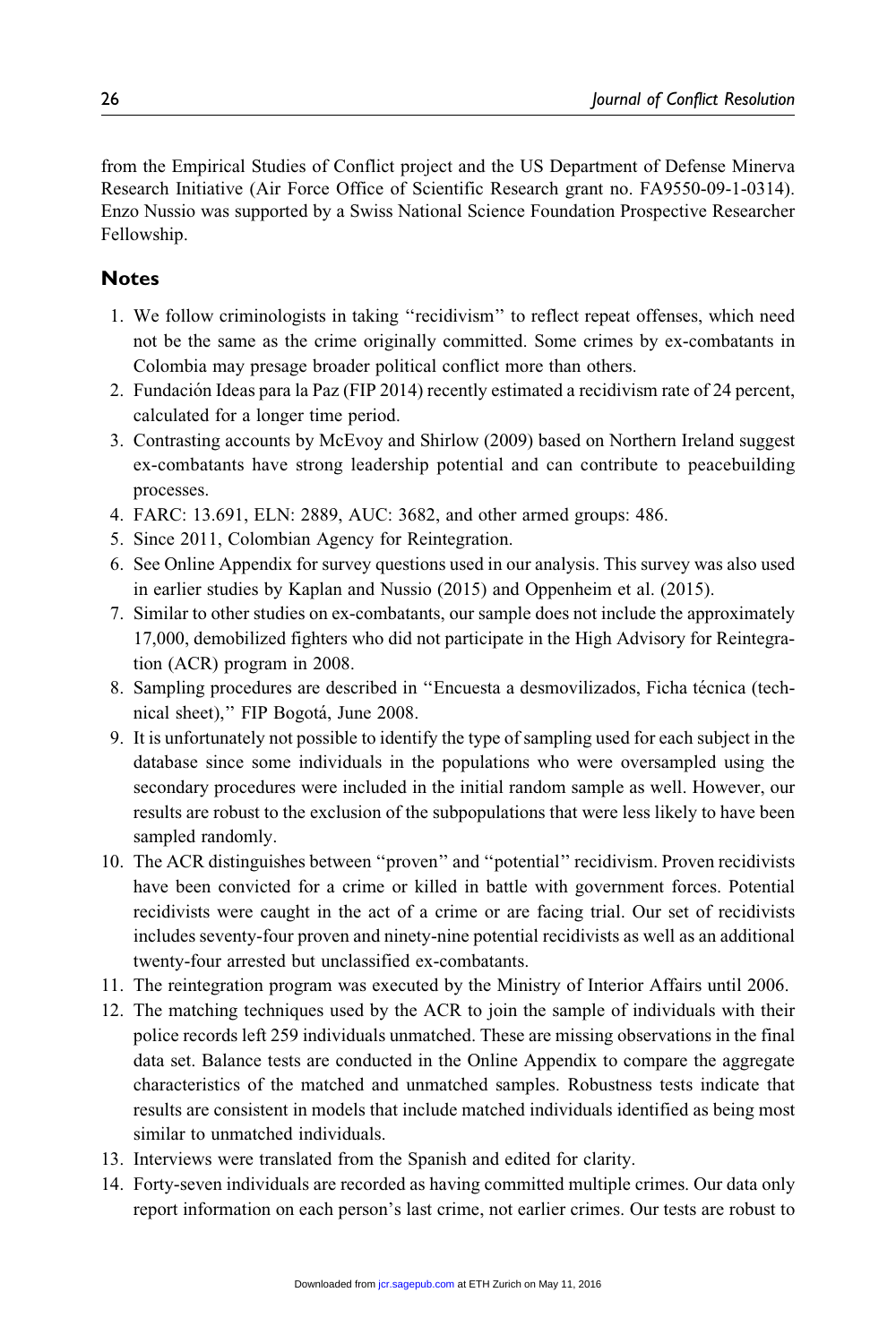from the Empirical Studies of Conflict project and the US Department of Defense Minerva Research Initiative (Air Force Office of Scientific Research grant no. FA9550-09-1-0314). Enzo Nussio was supported by a Swiss National Science Foundation Prospective Researcher Fellowship.

## **Notes**

- 1. We follow criminologists in taking ''recidivism'' to reflect repeat offenses, which need not be the same as the crime originally committed. Some crimes by ex-combatants in Colombia may presage broader political conflict more than others.
- 2. Fundación Ideas para la Paz (FIP 2014) recently estimated a recidivism rate of 24 percent, calculated for a longer time period.
- 3. Contrasting accounts by McEvoy and Shirlow (2009) based on Northern Ireland suggest ex-combatants have strong leadership potential and can contribute to peacebuilding processes.
- 4. FARC: 13.691, ELN: 2889, AUC: 3682, and other armed groups: 486.
- 5. Since 2011, Colombian Agency for Reintegration.
- 6. See Online Appendix for survey questions used in our analysis. This survey was also used in earlier studies by Kaplan and Nussio (2015) and Oppenheim et al. (2015).
- 7. Similar to other studies on ex-combatants, our sample does not include the approximately 17,000, demobilized fighters who did not participate in the High Advisory for Reintegration (ACR) program in 2008.
- 8. Sampling procedures are described in "Encuesta a desmovilizados, Ficha técnica (technical sheet)," FIP Bogotá, June 2008.
- 9. It is unfortunately not possible to identify the type of sampling used for each subject in the database since some individuals in the populations who were oversampled using the secondary procedures were included in the initial random sample as well. However, our results are robust to the exclusion of the subpopulations that were less likely to have been sampled randomly.
- 10. The ACR distinguishes between ''proven'' and ''potential'' recidivism. Proven recidivists have been convicted for a crime or killed in battle with government forces. Potential recidivists were caught in the act of a crime or are facing trial. Our set of recidivists includes seventy-four proven and ninety-nine potential recidivists as well as an additional twenty-four arrested but unclassified ex-combatants.
- 11. The reintegration program was executed by the Ministry of Interior Affairs until 2006.
- 12. The matching techniques used by the ACR to join the sample of individuals with their police records left 259 individuals unmatched. These are missing observations in the final data set. Balance tests are conducted in the Online Appendix to compare the aggregate characteristics of the matched and unmatched samples. Robustness tests indicate that results are consistent in models that include matched individuals identified as being most similar to unmatched individuals.
- 13. Interviews were translated from the Spanish and edited for clarity.
- 14. Forty-seven individuals are recorded as having committed multiple crimes. Our data only report information on each person's last crime, not earlier crimes. Our tests are robust to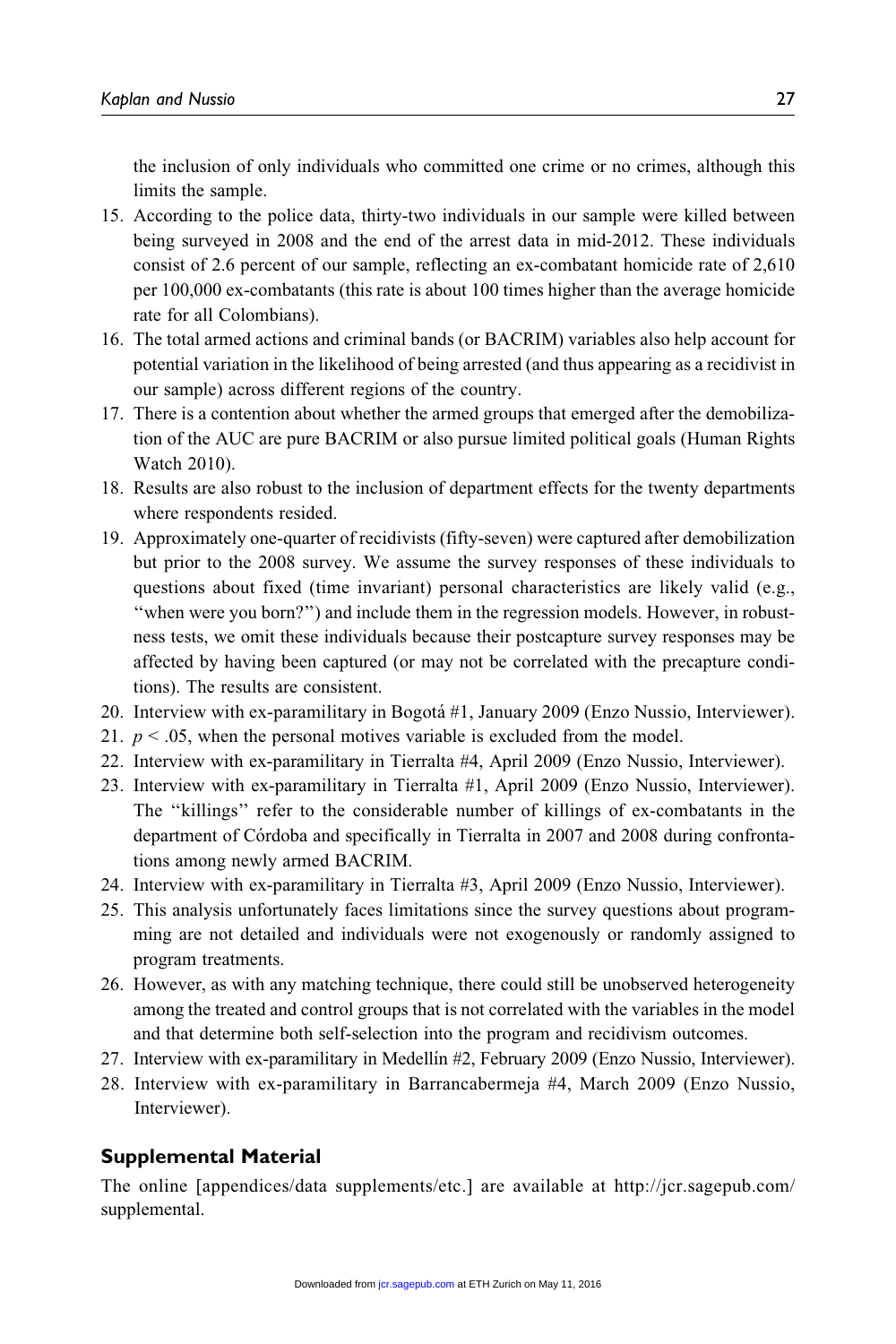the inclusion of only individuals who committed one crime or no crimes, although this limits the sample.

- 15. According to the police data, thirty-two individuals in our sample were killed between being surveyed in 2008 and the end of the arrest data in mid-2012. These individuals consist of 2.6 percent of our sample, reflecting an ex-combatant homicide rate of 2,610 per 100,000 ex-combatants (this rate is about 100 times higher than the average homicide rate for all Colombians).
- 16. The total armed actions and criminal bands (or BACRIM) variables also help account for potential variation in the likelihood of being arrested (and thus appearing as a recidivist in our sample) across different regions of the country.
- 17. There is a contention about whether the armed groups that emerged after the demobilization of the AUC are pure BACRIM or also pursue limited political goals (Human Rights Watch 2010).
- 18. Results are also robust to the inclusion of department effects for the twenty departments where respondents resided.
- 19. Approximately one-quarter of recidivists (fifty-seven) were captured after demobilization but prior to the 2008 survey. We assume the survey responses of these individuals to questions about fixed (time invariant) personal characteristics are likely valid (e.g., ''when were you born?'') and include them in the regression models. However, in robustness tests, we omit these individuals because their postcapture survey responses may be affected by having been captured (or may not be correlated with the precapture conditions). The results are consistent.
- 20. Interview with ex-paramilitary in Bogota´ #1, January 2009 (Enzo Nussio, Interviewer).
- 21.  $p < .05$ , when the personal motives variable is excluded from the model.
- 22. Interview with ex-paramilitary in Tierralta #4, April 2009 (Enzo Nussio, Interviewer).
- 23. Interview with ex-paramilitary in Tierralta #1, April 2009 (Enzo Nussio, Interviewer). The ''killings'' refer to the considerable number of killings of ex-combatants in the department of Córdoba and specifically in Tierralta in 2007 and 2008 during confrontations among newly armed BACRIM.
- 24. Interview with ex-paramilitary in Tierralta #3, April 2009 (Enzo Nussio, Interviewer).
- 25. This analysis unfortunately faces limitations since the survey questions about programming are not detailed and individuals were not exogenously or randomly assigned to program treatments.
- 26. However, as with any matching technique, there could still be unobserved heterogeneity among the treated and control groups that is not correlated with the variables in the model and that determine both self-selection into the program and recidivism outcomes.
- 27. Interview with ex-paramilitary in Medellín #2, February 2009 (Enzo Nussio, Interviewer).
- 28. Interview with ex-paramilitary in Barrancabermeja #4, March 2009 (Enzo Nussio, Interviewer).

#### Supplemental Material

The online [appendices/data supplements/etc.] are available at [http://jcr.sagepub.com/](http://jcr.sagepub.com/supplemental) [supplemental.](http://jcr.sagepub.com/supplemental)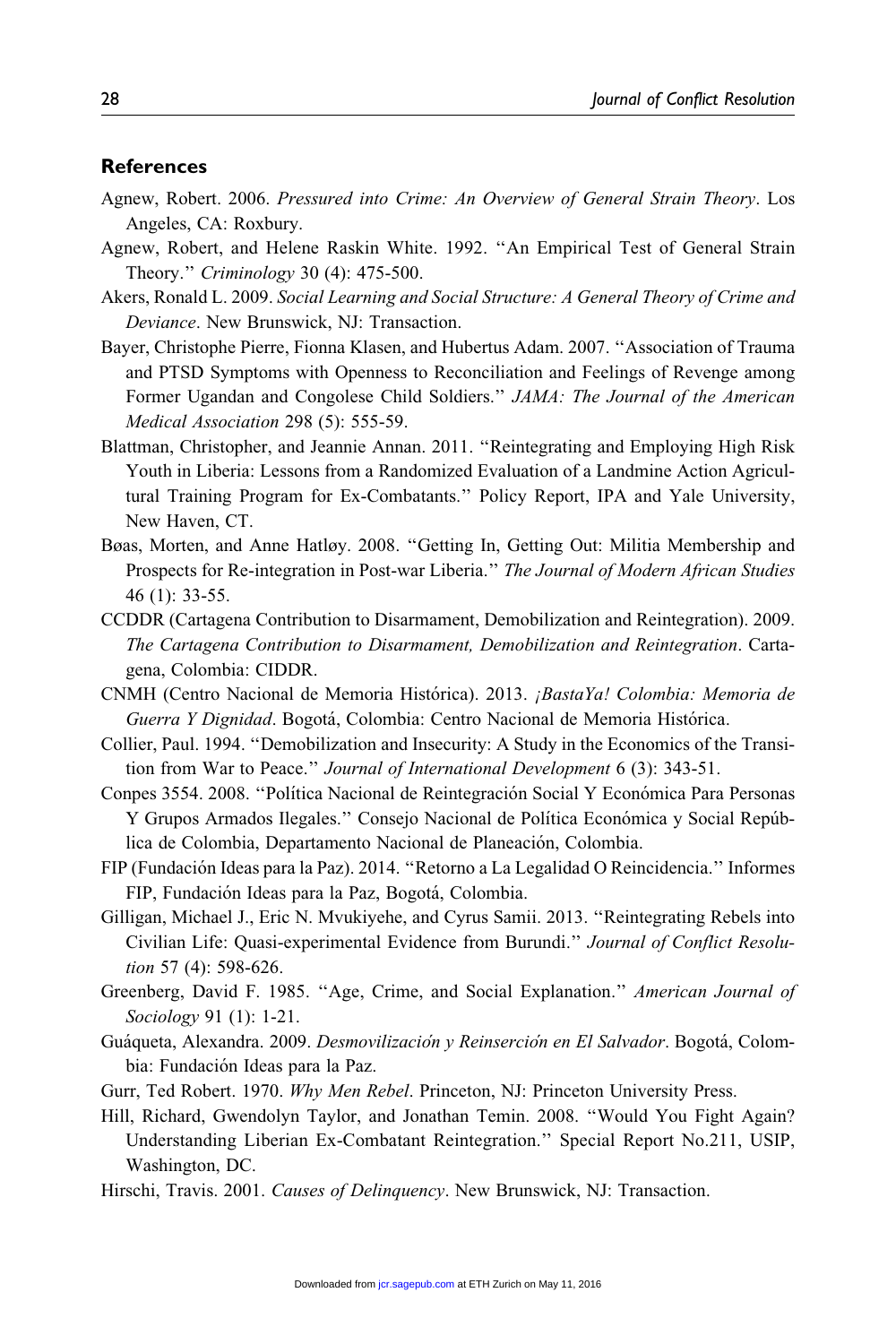#### **References**

- Agnew, Robert. 2006. Pressured into Crime: An Overview of General Strain Theory. Los Angeles, CA: Roxbury.
- Agnew, Robert, and Helene Raskin White. 1992. ''An Empirical Test of General Strain Theory.'' Criminology 30 (4): 475-500.
- Akers, Ronald L. 2009. Social Learning and Social Structure: A General Theory of Crime and Deviance. New Brunswick, NJ: Transaction.
- Bayer, Christophe Pierre, Fionna Klasen, and Hubertus Adam. 2007. ''Association of Trauma and PTSD Symptoms with Openness to Reconciliation and Feelings of Revenge among Former Ugandan and Congolese Child Soldiers." JAMA: The Journal of the American Medical Association 298 (5): 555-59.
- Blattman, Christopher, and Jeannie Annan. 2011. ''Reintegrating and Employing High Risk Youth in Liberia: Lessons from a Randomized Evaluation of a Landmine Action Agricultural Training Program for Ex-Combatants.'' Policy Report, IPA and Yale University, New Haven, CT.
- Bøas, Morten, and Anne Hatløy. 2008. ''Getting In, Getting Out: Militia Membership and Prospects for Re-integration in Post-war Liberia." The Journal of Modern African Studies 46 (1): 33-55.
- CCDDR (Cartagena Contribution to Disarmament, Demobilization and Reintegration). 2009. The Cartagena Contribution to Disarmament, Demobilization and Reintegration. Cartagena, Colombia: CIDDR.
- CNMH (Centro Nacional de Memoria Histórica). 2013. ¡BastaYa! Colombia: Memoria de Guerra Y Dignidad. Bogotá, Colombia: Centro Nacional de Memoria Histórica.
- Collier, Paul. 1994. ''Demobilization and Insecurity: A Study in the Economics of the Transition from War to Peace." Journal of International Development 6 (3): 343-51.
- Conpes 3554. 2008. "Política Nacional de Reintegración Social Y Económica Para Personas Y Grupos Armados Ilegales." Consejo Nacional de Política Económica y Social República de Colombia, Departamento Nacional de Planeación, Colombia.
- FIP (Fundacio´n Ideas para la Paz). 2014. ''Retorno a La Legalidad O Reincidencia.'' Informes FIP, Fundación Ideas para la Paz, Bogotá, Colombia.
- Gilligan, Michael J., Eric N. Mvukiyehe, and Cyrus Samii. 2013. ''Reintegrating Rebels into Civilian Life: Quasi-experimental Evidence from Burundi.'' Journal of Conflict Resolution 57 (4): 598-626.
- Greenberg, David F. 1985. "Age, Crime, and Social Explanation." American Journal of Sociology 91 (1): 1-21.
- Guáqueta, Alexandra. 2009. Desmovilización y Reinserción en El Salvador. Bogotá, Colombia: Fundación Ideas para la Paz.
- Gurr, Ted Robert. 1970. Why Men Rebel. Princeton, NJ: Princeton University Press.
- Hill, Richard, Gwendolyn Taylor, and Jonathan Temin. 2008. ''Would You Fight Again? Understanding Liberian Ex-Combatant Reintegration.'' Special Report No.211, USIP, Washington, DC.
- Hirschi, Travis. 2001. Causes of Delinquency. New Brunswick, NJ: Transaction.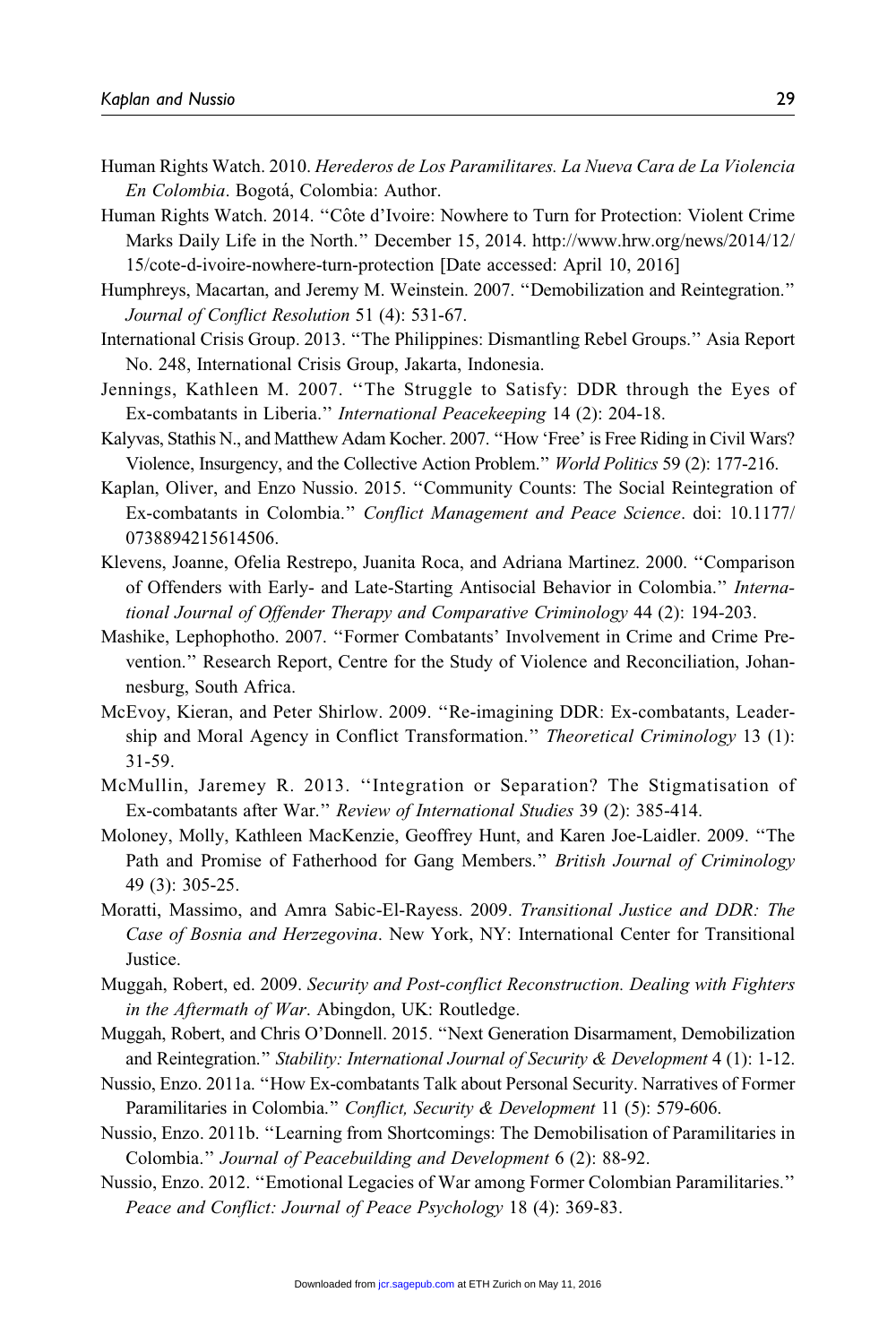- Human Rights Watch. 2010. Herederos de Los Paramilitares. La Nueva Cara de La Violencia En Colombia. Bogotá, Colombia: Author.
- Human Rights Watch. 2014. "Côte d'Ivoire: Nowhere to Turn for Protection: Violent Crime Marks Daily Life in the North.'' December 15, 2014. [http://www.hrw.org/news/2014/12/](http://www.hrw.org/news/2014/12/15/cote-d-ivoire-nowhere-turn-protection) [15/cote-d-ivoire-nowhere-turn-protection](http://www.hrw.org/news/2014/12/15/cote-d-ivoire-nowhere-turn-protection) [Date accessed: April 10, 2016]
- Humphreys, Macartan, and Jeremy M. Weinstein. 2007. ''Demobilization and Reintegration.'' Journal of Conflict Resolution 51 (4): 531-67.
- International Crisis Group. 2013. ''The Philippines: Dismantling Rebel Groups.'' Asia Report No. 248, International Crisis Group, Jakarta, Indonesia.
- Jennings, Kathleen M. 2007. ''The Struggle to Satisfy: DDR through the Eyes of Ex-combatants in Liberia.'' International Peacekeeping 14 (2): 204-18.
- Kalyvas, Stathis N., and Matthew Adam Kocher. 2007. "How 'Free' is Free Riding in Civil Wars? Violence, Insurgency, and the Collective Action Problem.'' World Politics 59 (2): 177-216.
- Kaplan, Oliver, and Enzo Nussio. 2015. ''Community Counts: The Social Reintegration of Ex-combatants in Colombia.'' Conflict Management and Peace Science. doi: 10.1177/ 0738894215614506.
- Klevens, Joanne, Ofelia Restrepo, Juanita Roca, and Adriana Martinez. 2000. ''Comparison of Offenders with Early- and Late-Starting Antisocial Behavior in Colombia.'' International Journal of Offender Therapy and Comparative Criminology 44 (2): 194-203.
- Mashike, Lephophotho. 2007. ''Former Combatants' Involvement in Crime and Crime Prevention.'' Research Report, Centre for the Study of Violence and Reconciliation, Johannesburg, South Africa.
- McEvoy, Kieran, and Peter Shirlow. 2009. ''Re-imagining DDR: Ex-combatants, Leadership and Moral Agency in Conflict Transformation." Theoretical Criminology 13 (1): 31-59.
- McMullin, Jaremey R. 2013. ''Integration or Separation? The Stigmatisation of Ex-combatants after War.'' Review of International Studies 39 (2): 385-414.
- Moloney, Molly, Kathleen MacKenzie, Geoffrey Hunt, and Karen Joe-Laidler. 2009. ''The Path and Promise of Fatherhood for Gang Members." British Journal of Criminology 49 (3): 305-25.
- Moratti, Massimo, and Amra Sabic-El-Rayess. 2009. Transitional Justice and DDR: The Case of Bosnia and Herzegovina. New York, NY: International Center for Transitional Justice.
- Muggah, Robert, ed. 2009. Security and Post-conflict Reconstruction. Dealing with Fighters in the Aftermath of War. Abingdon, UK: Routledge.
- Muggah, Robert, and Chris O'Donnell. 2015. ''Next Generation Disarmament, Demobilization and Reintegration." Stability: International Journal of Security & Development 4 (1): 1-12.
- Nussio, Enzo. 2011a. ''How Ex-combatants Talk about Personal Security. Narratives of Former Paramilitaries in Colombia." Conflict, Security & Development 11 (5): 579-606.
- Nussio, Enzo. 2011b. ''Learning from Shortcomings: The Demobilisation of Paramilitaries in Colombia.'' Journal of Peacebuilding and Development 6 (2): 88-92.
- Nussio, Enzo. 2012. ''Emotional Legacies of War among Former Colombian Paramilitaries.'' Peace and Conflict: Journal of Peace Psychology 18 (4): 369-83.